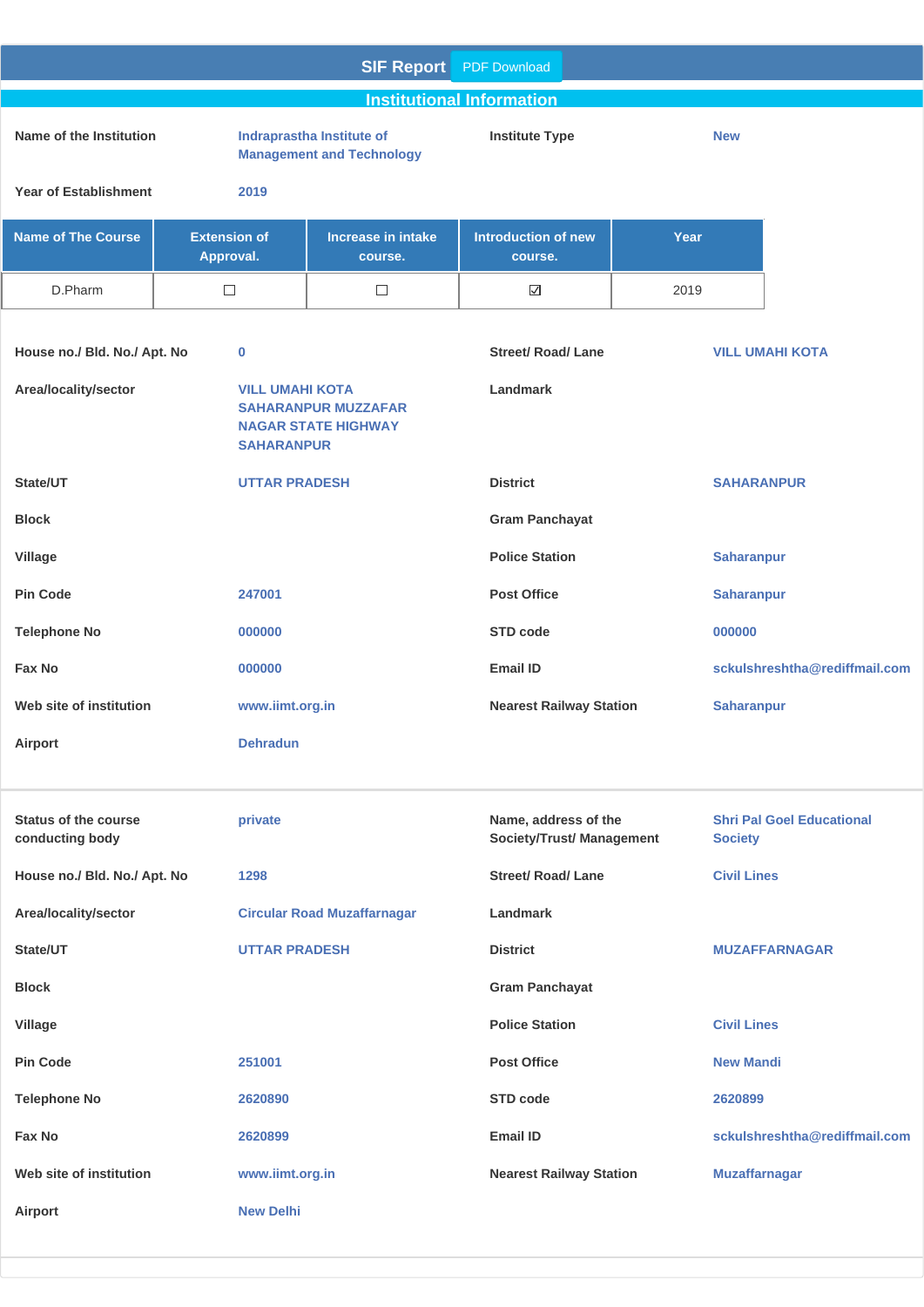|                                                |                                             | <b>SIF Report</b>                                             | <b>PDF Download</b>                                      |                   |                      |                                  |
|------------------------------------------------|---------------------------------------------|---------------------------------------------------------------|----------------------------------------------------------|-------------------|----------------------|----------------------------------|
|                                                |                                             |                                                               | <b>Institutional Information</b>                         |                   |                      |                                  |
| Name of the Institution                        |                                             | Indraprastha Institute of<br><b>Management and Technology</b> | <b>Institute Type</b>                                    |                   | <b>New</b>           |                                  |
| <b>Year of Establishment</b>                   | 2019                                        |                                                               |                                                          |                   |                      |                                  |
| <b>Name of The Course</b>                      | <b>Extension of</b><br>Approval.            | <b>Increase in intake</b><br>course.                          | <b>Introduction of new</b><br>course.                    | Year              |                      |                                  |
| D.Pharm                                        | $\Box$                                      | $\Box$                                                        | $\overline{\smile}$                                      | 2019              |                      |                                  |
| House no./ Bld. No./ Apt. No                   | $\bf{0}$                                    |                                                               | <b>Street/ Road/ Lane</b>                                |                   |                      | <b>VILL UMAHI KOTA</b>           |
| Area/locality/sector                           | <b>VILL UMAHI KOTA</b><br><b>SAHARANPUR</b> | <b>SAHARANPUR MUZZAFAR</b><br><b>NAGAR STATE HIGHWAY</b>      | Landmark                                                 |                   |                      |                                  |
| State/UT                                       | <b>UTTAR PRADESH</b>                        |                                                               | <b>District</b>                                          |                   | <b>SAHARANPUR</b>    |                                  |
| <b>Block</b>                                   |                                             |                                                               | <b>Gram Panchayat</b>                                    |                   |                      |                                  |
| <b>Village</b>                                 |                                             |                                                               | <b>Police Station</b>                                    |                   | <b>Saharanpur</b>    |                                  |
| <b>Pin Code</b><br>247001                      |                                             | <b>Post Office</b>                                            |                                                          | <b>Saharanpur</b> |                      |                                  |
| <b>Telephone No</b>                            | 000000                                      |                                                               | STD code                                                 |                   | 000000               |                                  |
| <b>Fax No</b>                                  | 000000                                      |                                                               | <b>Email ID</b>                                          |                   |                      | sckulshreshtha@rediffmail.com    |
| Web site of institution                        | www.iimt.org.in                             |                                                               | <b>Nearest Railway Station</b>                           |                   | <b>Saharanpur</b>    |                                  |
| Airport                                        | <b>Dehradun</b>                             |                                                               |                                                          |                   |                      |                                  |
|                                                |                                             |                                                               |                                                          |                   |                      |                                  |
| <b>Status of the course</b><br>conducting body | private                                     |                                                               | Name, address of the<br><b>Society/Trust/ Management</b> |                   | <b>Society</b>       | <b>Shri Pal Goel Educational</b> |
| House no./ Bld. No./ Apt. No                   | 1298                                        |                                                               | <b>Street/ Road/ Lane</b>                                |                   | <b>Civil Lines</b>   |                                  |
| Area/locality/sector                           |                                             | <b>Circular Road Muzaffarnagar</b>                            | Landmark                                                 |                   |                      |                                  |
| State/UT                                       | <b>UTTAR PRADESH</b>                        |                                                               | <b>District</b>                                          |                   |                      | <b>MUZAFFARNAGAR</b>             |
| <b>Block</b>                                   |                                             |                                                               | <b>Gram Panchayat</b>                                    |                   |                      |                                  |
| <b>Village</b>                                 |                                             |                                                               | <b>Police Station</b>                                    |                   | <b>Civil Lines</b>   |                                  |
| <b>Pin Code</b>                                | 251001                                      |                                                               | <b>Post Office</b>                                       |                   | <b>New Mandi</b>     |                                  |
| <b>Telephone No</b>                            | 2620890                                     |                                                               | <b>STD code</b>                                          |                   | 2620899              |                                  |
| Fax No                                         | 2620899                                     |                                                               | <b>Email ID</b>                                          |                   |                      | sckulshreshtha@rediffmail.com    |
| Web site of institution                        | www.iimt.org.in                             |                                                               | <b>Nearest Railway Station</b>                           |                   | <b>Muzaffarnagar</b> |                                  |
| Airport                                        | <b>New Delhi</b>                            |                                                               |                                                          |                   |                      |                                  |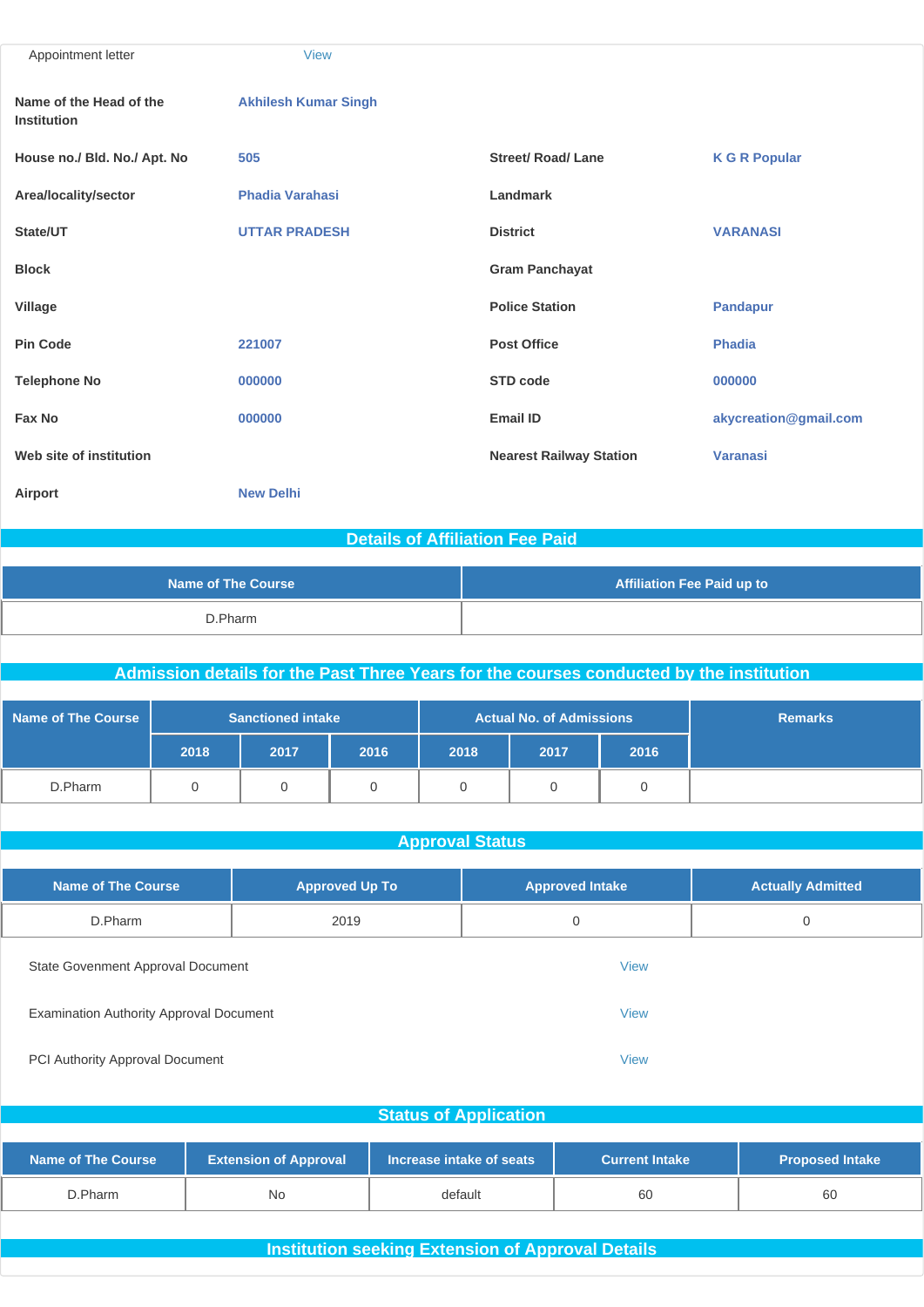| Appointment letter                            | <b>View</b>                 |                                |                       |
|-----------------------------------------------|-----------------------------|--------------------------------|-----------------------|
| Name of the Head of the<br><b>Institution</b> | <b>Akhilesh Kumar Singh</b> |                                |                       |
| House no./ Bld. No./ Apt. No                  | 505                         | <b>Street/ Road/ Lane</b>      | <b>K G R Popular</b>  |
| Area/locality/sector                          | <b>Phadia Varahasi</b>      | Landmark                       |                       |
| State/UT                                      | <b>UTTAR PRADESH</b>        | <b>District</b>                | <b>VARANASI</b>       |
| <b>Block</b>                                  |                             | <b>Gram Panchayat</b>          |                       |
| Village                                       |                             | <b>Police Station</b>          | <b>Pandapur</b>       |
| <b>Pin Code</b>                               | 221007                      | <b>Post Office</b>             | <b>Phadia</b>         |
| <b>Telephone No</b>                           | 000000                      | <b>STD code</b>                | 000000                |
| Fax No                                        | 000000                      | <b>Email ID</b>                | akycreation@gmail.com |
| Web site of institution                       |                             | <b>Nearest Railway Station</b> | <b>Varanasi</b>       |
| Airport                                       | <b>New Delhi</b>            |                                |                       |

### **Details of Affiliation Fee Paid**

| <b>Name of The Course</b> | <b>Affiliation Fee Paid up to</b> |
|---------------------------|-----------------------------------|
| D.Pharm                   |                                   |

### **Admission details for the Past Three Years for the courses conducted by the institution**

| Name of The Course |      | <b>Actual No. of Admissions</b><br><b>Sanctioned intake</b><br><b>Remarks</b> |      |      |      |      |  |
|--------------------|------|-------------------------------------------------------------------------------|------|------|------|------|--|
|                    | 2018 | 2017                                                                          | 2016 | 2018 | 2017 | 2016 |  |
| D.Pharm            |      |                                                                               |      |      |      |      |  |

#### **Approval Status**

| <b>Name of The Course</b>                      | <b>Approved Up To</b> | <b>Approved Intake</b> | <b>Actually Admitted</b> |  |
|------------------------------------------------|-----------------------|------------------------|--------------------------|--|
| D.Pharm                                        | 2019                  | 0                      | 0                        |  |
| State Govenment Approval Document              |                       | <b>View</b>            |                          |  |
| <b>Examination Authority Approval Document</b> |                       | <b>View</b>            |                          |  |

PCI Authority Approval Document [View](http://www.sif.nic.in/institute/getmongoPdfFile.do?renreceiptid=0522d435-736b-4af3-a858-9cdc7775c295&tablename=pciapproval)

# **Status of Application Name of The Course Extension of Approval** Increase intake of seats **Accuration Current Intake Proposed Intake** D.Pharm No default 60 60

#### **Institution seeking Extension of Approval Details**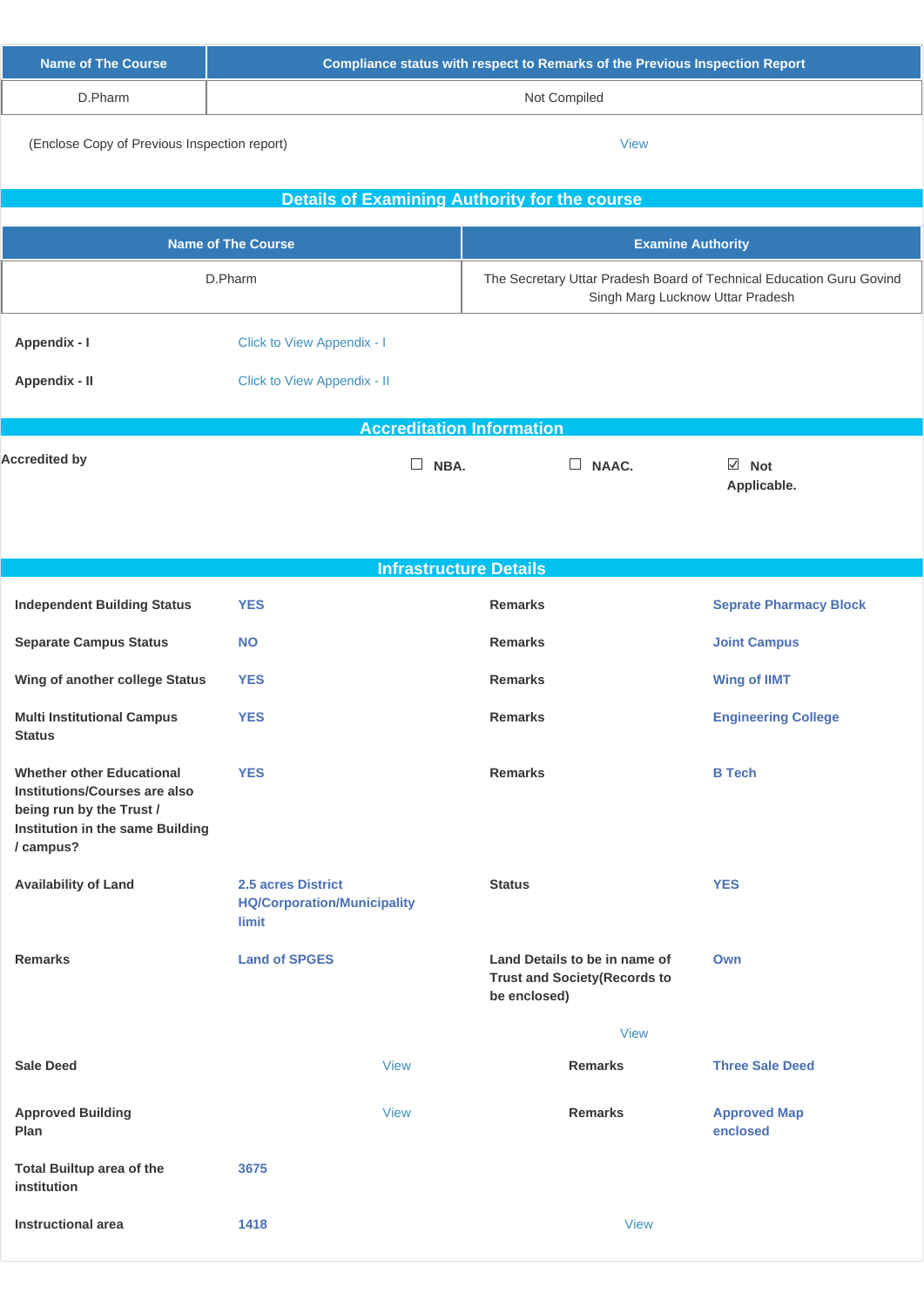| Name of The Course | <u>l Compliance status with respect to Remarks of the Previous Inspection Report <math>^{\dagger}</math></u> |
|--------------------|--------------------------------------------------------------------------------------------------------------|
| D.Pharm            | Not Compiled                                                                                                 |
|                    |                                                                                                              |

(Enclose Copy of Previous Inspection report) [View](http://www.sif.nic.in/institute/getmongoPdfFile.do?renreceiptid=43f9e525-b16a-4bab-965b-c885f7d81ac8&tablename=instutionseeking)

 $\overline{\phantom{a}}$ 

L

|                                                                                                                                                |                                                                   | <b>Details of Examining Authority for the course</b>                                                     |                                 |  |  |
|------------------------------------------------------------------------------------------------------------------------------------------------|-------------------------------------------------------------------|----------------------------------------------------------------------------------------------------------|---------------------------------|--|--|
|                                                                                                                                                | <b>Name of The Course</b>                                         | <b>Examine Authority</b>                                                                                 |                                 |  |  |
|                                                                                                                                                | D.Pharm                                                           | The Secretary Uttar Pradesh Board of Technical Education Guru Govind<br>Singh Marg Lucknow Uttar Pradesh |                                 |  |  |
| Appendix - I                                                                                                                                   | Click to View Appendix - I                                        |                                                                                                          |                                 |  |  |
| Appendix - II                                                                                                                                  | Click to View Appendix - II                                       |                                                                                                          |                                 |  |  |
|                                                                                                                                                | <b>Accreditation Information</b>                                  |                                                                                                          |                                 |  |  |
| <b>Accredited by</b>                                                                                                                           | $\Box$<br>NBA.                                                    | $\Box$ NAAC.                                                                                             | $\boxdot$ Not<br>Applicable.    |  |  |
|                                                                                                                                                |                                                                   | <b>Infrastructure Details</b>                                                                            |                                 |  |  |
| <b>Independent Building Status</b>                                                                                                             | <b>YES</b>                                                        | <b>Remarks</b>                                                                                           | <b>Seprate Pharmacy Block</b>   |  |  |
| <b>Separate Campus Status</b>                                                                                                                  | <b>NO</b>                                                         | <b>Remarks</b>                                                                                           | <b>Joint Campus</b>             |  |  |
| Wing of another college Status                                                                                                                 | <b>YES</b>                                                        | <b>Remarks</b>                                                                                           | <b>Wing of IIMT</b>             |  |  |
| <b>Multi Institutional Campus</b><br><b>Status</b>                                                                                             | <b>YES</b>                                                        | <b>Remarks</b>                                                                                           | <b>Engineering College</b>      |  |  |
| <b>Whether other Educational</b><br>Institutions/Courses are also<br>being run by the Trust /<br>Institution in the same Building<br>/ campus? | <b>YES</b>                                                        | <b>Remarks</b>                                                                                           | <b>B</b> Tech                   |  |  |
| <b>Availability of Land</b>                                                                                                                    | 2.5 acres District<br><b>HQ/Corporation/Municipality</b><br>limit | <b>Status</b>                                                                                            | <b>YES</b>                      |  |  |
| <b>Remarks</b>                                                                                                                                 | <b>Land of SPGES</b>                                              | Land Details to be in name of<br><b>Trust and Society (Records to</b><br>be enclosed)                    | Own                             |  |  |
|                                                                                                                                                |                                                                   | <b>View</b>                                                                                              |                                 |  |  |
| <b>Sale Deed</b>                                                                                                                               | <b>View</b>                                                       | <b>Remarks</b>                                                                                           | <b>Three Sale Deed</b>          |  |  |
| <b>Approved Building</b><br>Plan                                                                                                               | <b>View</b>                                                       | <b>Remarks</b>                                                                                           | <b>Approved Map</b><br>enclosed |  |  |
| <b>Total Builtup area of the</b><br>institution                                                                                                | 3675                                                              |                                                                                                          |                                 |  |  |
| <b>Instructional area</b>                                                                                                                      | 1418                                                              | <b>View</b>                                                                                              |                                 |  |  |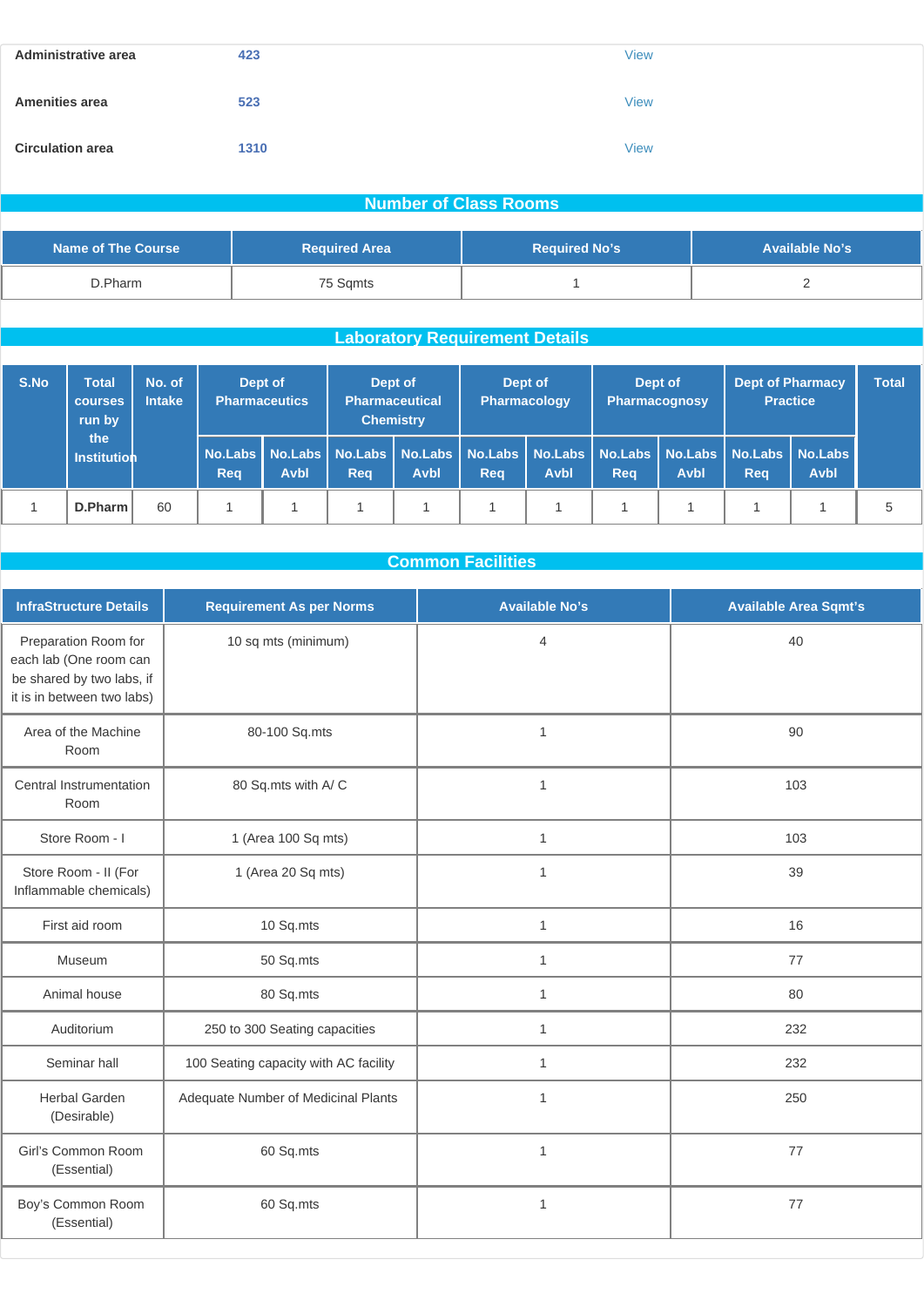| Administrative area     | 423  | <b>View</b> |
|-------------------------|------|-------------|
| <b>Amenities area</b>   | 523  | <b>View</b> |
| <b>Circulation area</b> | 1310 | <b>View</b> |

## **Number of Class Rooms**

| <b>Name of The Course</b> | <b>Required Area</b> | <b>Required No's</b> | <b>Available No's</b> |
|---------------------------|----------------------|----------------------|-----------------------|
| D.Pharm                   | 75 Sqmts             |                      |                       |

# **Laboratory Requirement Details**

| S.No | No. of<br>Total<br><b>Intake</b><br><b>courses</b><br>run by<br>the<br>Institution | Dept of<br><b>Pharmaceutics</b> |             |                                                                                                            | Dept of<br><b>Pharmaceutical</b><br><b>Chemistry</b> |     | Dept of<br>Pharmacology |     | Dept of<br><b>Pharmacognosy</b> |     | <b>Dept of Pharmacy</b><br><b>Practice</b> |  |   |
|------|------------------------------------------------------------------------------------|---------------------------------|-------------|------------------------------------------------------------------------------------------------------------|------------------------------------------------------|-----|-------------------------|-----|---------------------------------|-----|--------------------------------------------|--|---|
|      |                                                                                    | Reg                             | <b>Avbl</b> | No.Labs   No.Labs   No.Labs   No.Labs   No.Labs   No.Labs   No.Labs   No.Labs   No.Labs   No.Labs  <br>Rea | <b>Avbl</b>                                          | Reg | Avbl                    | Reg | <b>Avbl</b>                     | Reg | <b>Avbl</b>                                |  |   |
|      | D.Pharm                                                                            | 60                              |             |                                                                                                            |                                                      |     |                         |     |                                 |     |                                            |  | 5 |

# **Common Facilities**

| <b>InfraStructure Details</b>                                                                             | <b>Requirement As per Norms</b>       | <b>Available No's</b> | <b>Available Area Sqmt's</b> |
|-----------------------------------------------------------------------------------------------------------|---------------------------------------|-----------------------|------------------------------|
| Preparation Room for<br>each lab (One room can<br>be shared by two labs, if<br>it is in between two labs) | 10 sq mts (minimum)                   | $\overline{4}$        | 40                           |
| Area of the Machine<br>Room                                                                               | 80-100 Sq.mts                         | 1                     | 90                           |
| Central Instrumentation<br>Room                                                                           | 80 Sq.mts with A/C                    | $\mathbf{1}$          | 103                          |
| Store Room - I                                                                                            | 1 (Area 100 Sq mts)                   | 1                     | 103                          |
| Store Room - II (For<br>Inflammable chemicals)                                                            | 1 (Area 20 Sq mts)                    | $\mathbf{1}$          | 39                           |
| First aid room                                                                                            | 10 Sq.mts                             | $\mathbf{1}$          | 16                           |
| Museum                                                                                                    | 50 Sq.mts                             | 1                     | 77                           |
| Animal house                                                                                              | 80 Sq.mts                             | $\mathbf{1}$          | 80                           |
| Auditorium                                                                                                | 250 to 300 Seating capacities         | $\mathbf{1}$          | 232                          |
| Seminar hall                                                                                              | 100 Seating capacity with AC facility | $\mathbf{1}$          | 232                          |
| <b>Herbal Garden</b><br>(Desirable)                                                                       | Adequate Number of Medicinal Plants   | $\mathbf{1}$          | 250                          |
| Girl's Common Room<br>(Essential)                                                                         | 60 Sq.mts                             | $\mathbf{1}$          | 77                           |
| Boy's Common Room<br>(Essential)                                                                          | 60 Sq.mts                             | $\mathbf{1}$          | 77                           |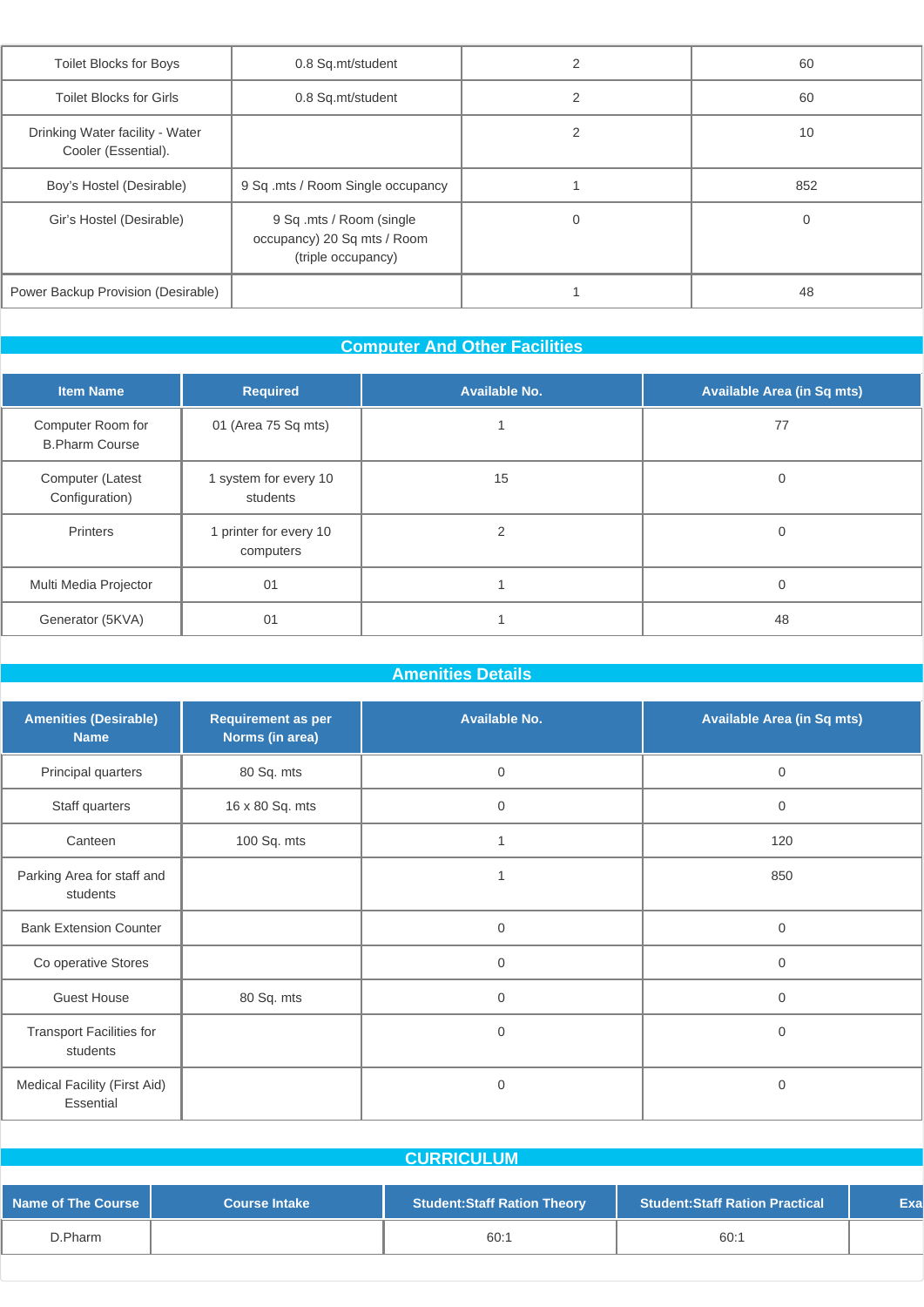| <b>Toilet Blocks for Boys</b>                          | 0.8 Sq.mt/student                                                              | $\overline{2}$ | 60  |
|--------------------------------------------------------|--------------------------------------------------------------------------------|----------------|-----|
| <b>Toilet Blocks for Girls</b>                         | 0.8 Sq.mt/student                                                              | 2              | 60  |
| Drinking Water facility - Water<br>Cooler (Essential). |                                                                                | $\mathfrak{p}$ | 10  |
| Boy's Hostel (Desirable)                               | 9 Sq .mts / Room Single occupancy                                              |                | 852 |
| Gir's Hostel (Desirable)                               | 9 Sq .mts / Room (single)<br>occupancy) 20 Sq mts / Room<br>(triple occupancy) | 0              |     |
| Power Backup Provision (Desirable)                     |                                                                                |                | 48  |
|                                                        |                                                                                |                |     |

### **Computer And Other Facilities**

| <b>Item Name</b>                           | <b>Required</b>                     | <b>Available No.</b> | <b>Available Area (in Sq mts)</b> |
|--------------------------------------------|-------------------------------------|----------------------|-----------------------------------|
| Computer Room for<br><b>B.Pharm Course</b> | 01 (Area 75 Sq mts)                 |                      | 77                                |
| Computer (Latest<br>Configuration)         | 1 system for every 10<br>students   | 15                   | $\Omega$                          |
| Printers                                   | 1 printer for every 10<br>computers | $\overline{2}$       | $\Omega$                          |
| Multi Media Projector                      | 01                                  |                      | $\Omega$                          |
| Generator (5KVA)                           | 01                                  |                      | 48                                |

# **Amenities Details**

| <b>Amenities (Desirable)</b><br><b>Name</b> | <b>Requirement as per</b><br>Norms (in area) | <b>Available No.</b> | <b>Available Area (in Sq mts)</b> |
|---------------------------------------------|----------------------------------------------|----------------------|-----------------------------------|
| Principal quarters                          | 80 Sq. mts                                   | $\mathbf 0$          | $\mathbf{0}$                      |
| Staff quarters                              | 16 x 80 Sq. mts                              | $\mathbf 0$          | $\mathbf 0$                       |
| Canteen                                     | 100 Sq. mts                                  | 1                    | 120                               |
| Parking Area for staff and<br>students      |                                              | 1                    | 850                               |
| <b>Bank Extension Counter</b>               |                                              | $\mathbf 0$          | $\mathbf 0$                       |
| Co operative Stores                         |                                              | $\mathbf 0$          | $\mathbf 0$                       |
| <b>Guest House</b>                          | 80 Sq. mts                                   | $\mathbf 0$          | $\mathbf 0$                       |
| <b>Transport Facilities for</b><br>students |                                              | $\mathbf 0$          | 0                                 |
| Medical Facility (First Aid)<br>Essential   |                                              | $\mathbf 0$          | 0                                 |

|                           |                      | <b>CURRICULUM</b>                  |                                       |     |
|---------------------------|----------------------|------------------------------------|---------------------------------------|-----|
| <b>Name of The Course</b> | <b>Course Intake</b> | <b>Student:Staff Ration Theory</b> | <b>Student:Staff Ration Practical</b> | Exa |
| D.Pharm                   |                      | 60:1                               | 60:1                                  |     |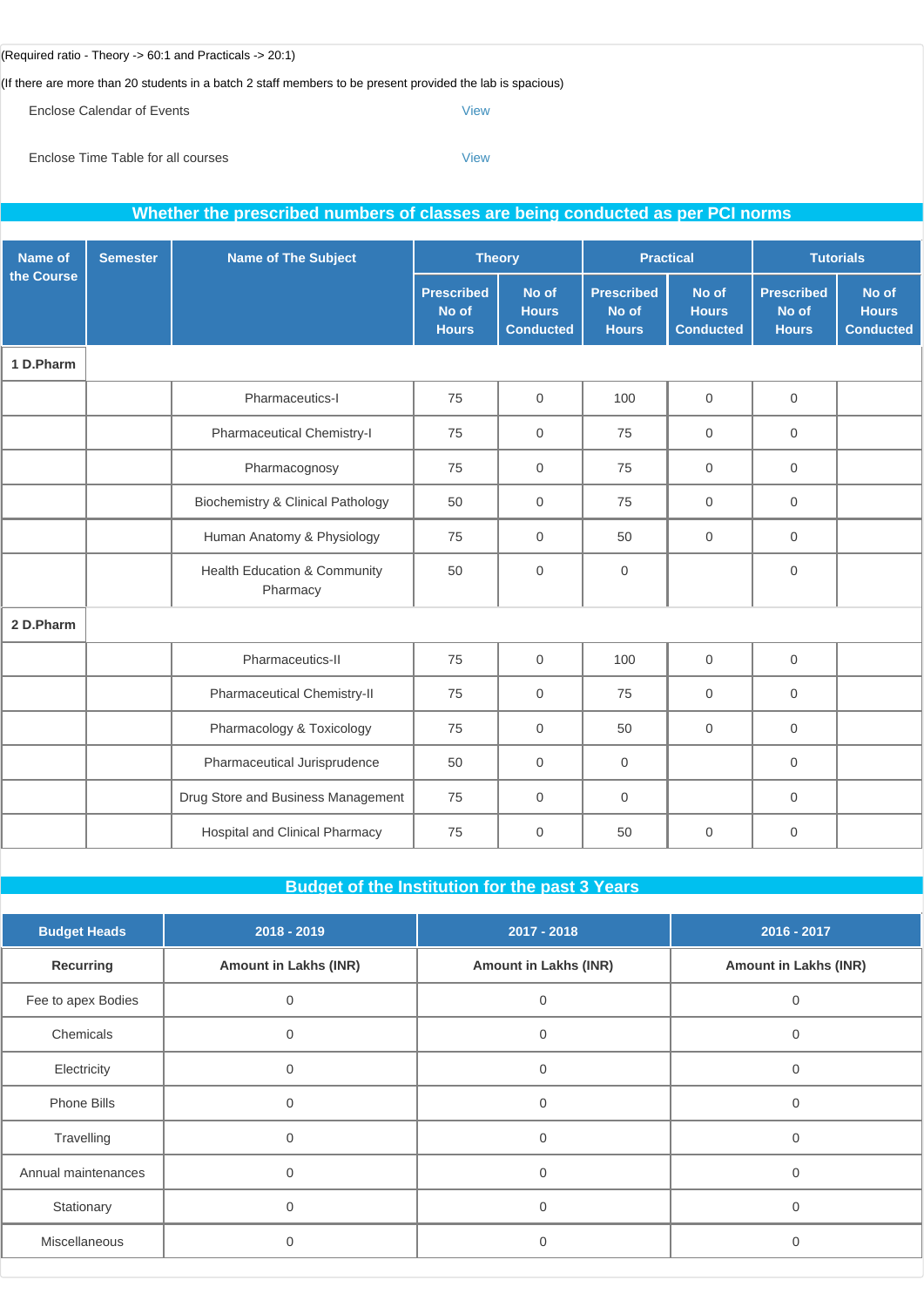#### (Required ratio - Theory -> 60:1 and Practicals -> 20:1)

(If there are more than 20 students in a batch 2 staff members to be present provided the lab is spacious)

Enclose Calendar of Events **[View](http://www.sif.nic.in/institute/getmongoPdfFile.do?renreceiptid=239470ea-47d8-44a7-923f-d24ca05b1cfa&tablename=curriculam)** 

Enclose Time Table for all courses [View](http://www.sif.nic.in/institute/getmongoPdfFile.do?renreceiptid=459c31ee-520b-4a2e-b9b6-8b4c792ca7d5&tablename=timetable)

|            | Whether the prescribed numbers of classes are being conducted as per PCI norms |                                              |                                            |                                           |                                            |                                           |                                            |                                           |
|------------|--------------------------------------------------------------------------------|----------------------------------------------|--------------------------------------------|-------------------------------------------|--------------------------------------------|-------------------------------------------|--------------------------------------------|-------------------------------------------|
| Name of    | <b>Semester</b>                                                                | <b>Name of The Subject</b>                   | <b>Theory</b>                              |                                           |                                            | <b>Practical</b>                          |                                            | <b>Tutorials</b>                          |
| the Course |                                                                                |                                              | <b>Prescribed</b><br>No of<br><b>Hours</b> | No of<br><b>Hours</b><br><b>Conducted</b> | <b>Prescribed</b><br>No of<br><b>Hours</b> | No of<br><b>Hours</b><br><b>Conducted</b> | <b>Prescribed</b><br>No of<br><b>Hours</b> | No of<br><b>Hours</b><br><b>Conducted</b> |
| 1 D.Pharm  |                                                                                |                                              |                                            |                                           |                                            |                                           |                                            |                                           |
|            |                                                                                | Pharmaceutics-I                              | 75                                         | $\mathbf{0}$                              | 100                                        | $\overline{0}$                            | $\mathbf{0}$                               |                                           |
|            |                                                                                | Pharmaceutical Chemistry-I                   | 75                                         | $\mathbf{0}$                              | 75                                         | $\overline{0}$                            | $\mathbf 0$                                |                                           |
|            |                                                                                | Pharmacognosy                                | 75                                         | $\mathbf{0}$                              | 75                                         | $\Omega$                                  | $\Omega$                                   |                                           |
|            |                                                                                | <b>Biochemistry &amp; Clinical Pathology</b> | 50                                         | $\mathbf{0}$                              | 75                                         | $\overline{0}$                            | $\mathbf 0$                                |                                           |
|            |                                                                                | Human Anatomy & Physiology                   | 75                                         | $\mathbf{0}$                              | 50                                         | $\overline{0}$                            | $\mathbf 0$                                |                                           |
|            |                                                                                | Health Education & Community<br>Pharmacy     | 50                                         | $\mathbf 0$                               | $\mathbf 0$                                |                                           | $\overline{0}$                             |                                           |
| 2 D.Pharm  |                                                                                |                                              |                                            |                                           |                                            |                                           |                                            |                                           |
|            |                                                                                | Pharmaceutics-II                             | 75                                         | $\mathbf 0$                               | 100                                        | $\overline{0}$                            | $\mathbf{0}$                               |                                           |
|            |                                                                                | Pharmaceutical Chemistry-II                  | 75                                         | $\mathbf 0$                               | 75                                         | $\overline{0}$                            | $\mathbf 0$                                |                                           |
|            |                                                                                | Pharmacology & Toxicology                    | 75                                         | $\mathbf 0$                               | 50                                         | $\mathbf 0$                               | $\mathsf{O}\xspace$                        |                                           |
|            |                                                                                | Pharmaceutical Jurisprudence                 | 50                                         | $\mathbf 0$                               | $\mathsf{O}\xspace$                        |                                           | $\mathsf{O}\xspace$                        |                                           |
|            |                                                                                | Drug Store and Business Management           | 75                                         | $\mathbf 0$                               | $\mathbf{O}$                               |                                           | $\mathsf{O}\xspace$                        |                                           |
|            |                                                                                | Hospital and Clinical Pharmacy               | 75                                         | $\mathbf 0$                               | 50                                         | $\overline{0}$                            | $\mathbf 0$                                |                                           |

**Budget of the Institution for the past 3 Years**

| <b>Budget Heads</b> | 2018 - 2019                  | 2017 - 2018                  | 2016 - 2017                  |
|---------------------|------------------------------|------------------------------|------------------------------|
| Recurring           | <b>Amount in Lakhs (INR)</b> | <b>Amount in Lakhs (INR)</b> | <b>Amount in Lakhs (INR)</b> |
| Fee to apex Bodies  |                              |                              |                              |
| Chemicals           | $\Omega$                     | $\mathbf{0}$                 | $\overline{0}$               |
| Electricity         | $\Omega$                     |                              |                              |
| Phone Bills         | $\Omega$                     | ∩                            | $\Omega$                     |
| Travelling          | $\Omega$                     | $\Omega$                     | $\Omega$                     |
| Annual maintenances |                              |                              |                              |
| Stationary          | $\cap$                       | O                            | $\Omega$                     |
| Miscellaneous       |                              | ი                            |                              |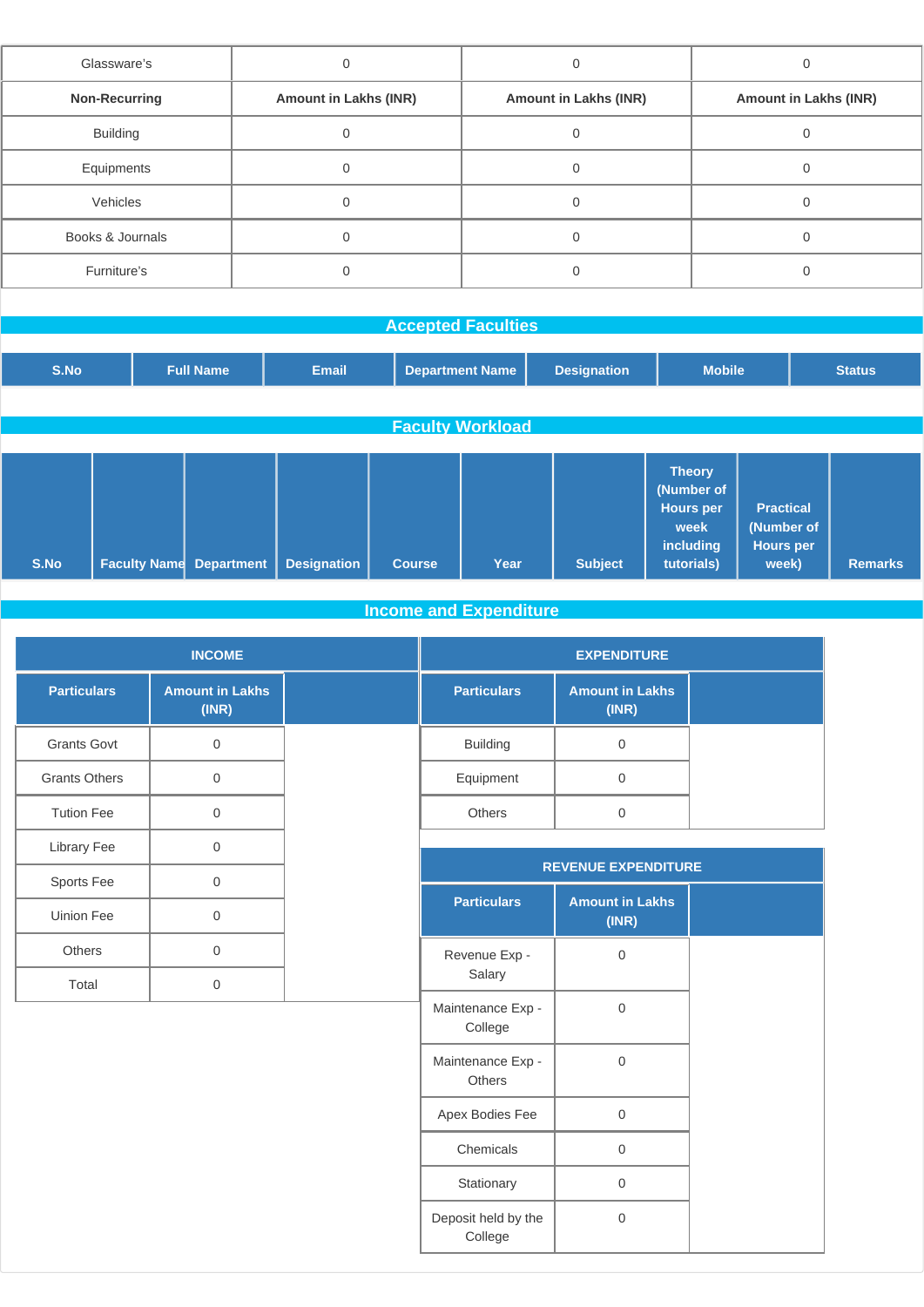| Glassware's          |                              |                              |                              |
|----------------------|------------------------------|------------------------------|------------------------------|
| <b>Non-Recurring</b> | <b>Amount in Lakhs (INR)</b> | <b>Amount in Lakhs (INR)</b> | <b>Amount in Lakhs (INR)</b> |
| <b>Building</b>      |                              |                              |                              |
| Equipments           |                              |                              |                              |
| Vehicles             |                              |                              |                              |
| Books & Journals     |                              |                              |                              |
| Furniture's          |                              |                              |                              |
|                      |                              |                              |                              |

| <b>Accepted Faculties</b> |                     |                   |                    |               |                         |                    |                                                                             |                                                             |               |
|---------------------------|---------------------|-------------------|--------------------|---------------|-------------------------|--------------------|-----------------------------------------------------------------------------|-------------------------------------------------------------|---------------|
|                           |                     |                   |                    |               |                         |                    |                                                                             |                                                             |               |
| S.No                      |                     | <b>Full Name</b>  | <b>Email</b>       |               | <b>Department Name</b>  | <b>Designation</b> | <b>Mobile</b>                                                               |                                                             | <b>Status</b> |
|                           |                     |                   |                    |               |                         |                    |                                                                             |                                                             |               |
|                           |                     |                   |                    |               | <b>Faculty Workload</b> |                    |                                                                             |                                                             |               |
|                           |                     |                   |                    |               |                         |                    |                                                                             |                                                             |               |
| S.No                      | <b>Faculty Name</b> | <b>Department</b> | <b>Designation</b> | <b>Course</b> | Year                    | <b>Subject</b>     | <b>Theory</b><br>(Number of<br>Hours per<br>week<br>including<br>tutorials) | <b>Practical</b><br>(Number of<br><b>Hours per</b><br>week) | Remarks       |

# **Income and Expenditure**

| <b>INCOME</b>        |                                 |  |                    | <b>EXPENDITURE</b>              |  |
|----------------------|---------------------------------|--|--------------------|---------------------------------|--|
| <b>Particulars</b>   | <b>Amount in Lakhs</b><br>(INR) |  | <b>Particulars</b> | <b>Amount in Lakhs</b><br>(INR) |  |
| <b>Grants Govt</b>   | $\Omega$                        |  | <b>Building</b>    | $\Omega$                        |  |
| <b>Grants Others</b> | $\mathbf 0$                     |  | Equipment          | $\mathbf 0$                     |  |
| <b>Tution Fee</b>    | $\mathbf{0}$                    |  | <b>Others</b>      | $\mathbf 0$                     |  |
| Library Fee          | $\Omega$                        |  |                    |                                 |  |
| Sports Fee           | $\mathbf{0}$                    |  |                    | <b>REVENUE EXPENDITURE</b>      |  |
| Uinion Fee           | $\Omega$                        |  | <b>Particulars</b> | <b>Amount in Lakhs</b><br>(INR) |  |
| Others               | $\Omega$                        |  | Revenue Exp -      | $\Omega$                        |  |
| Total                | $\mathbf 0$                     |  | Salary             |                                 |  |
|                      |                                 |  | Maintenance Exp -  | $\Omega$                        |  |

| <u>r urtrounuro</u>                | THOMA III EANIV<br>(INR) |
|------------------------------------|--------------------------|
| Revenue Exp -<br>Salary            | 0                        |
| Maintenance Exp -<br>College       | 0                        |
| Maintenance Exp -<br><b>Others</b> | 0                        |
| Apex Bodies Fee                    | 0                        |
| Chemicals                          | U                        |
| Stationary                         | 0                        |
| Deposit held by the<br>College     | O                        |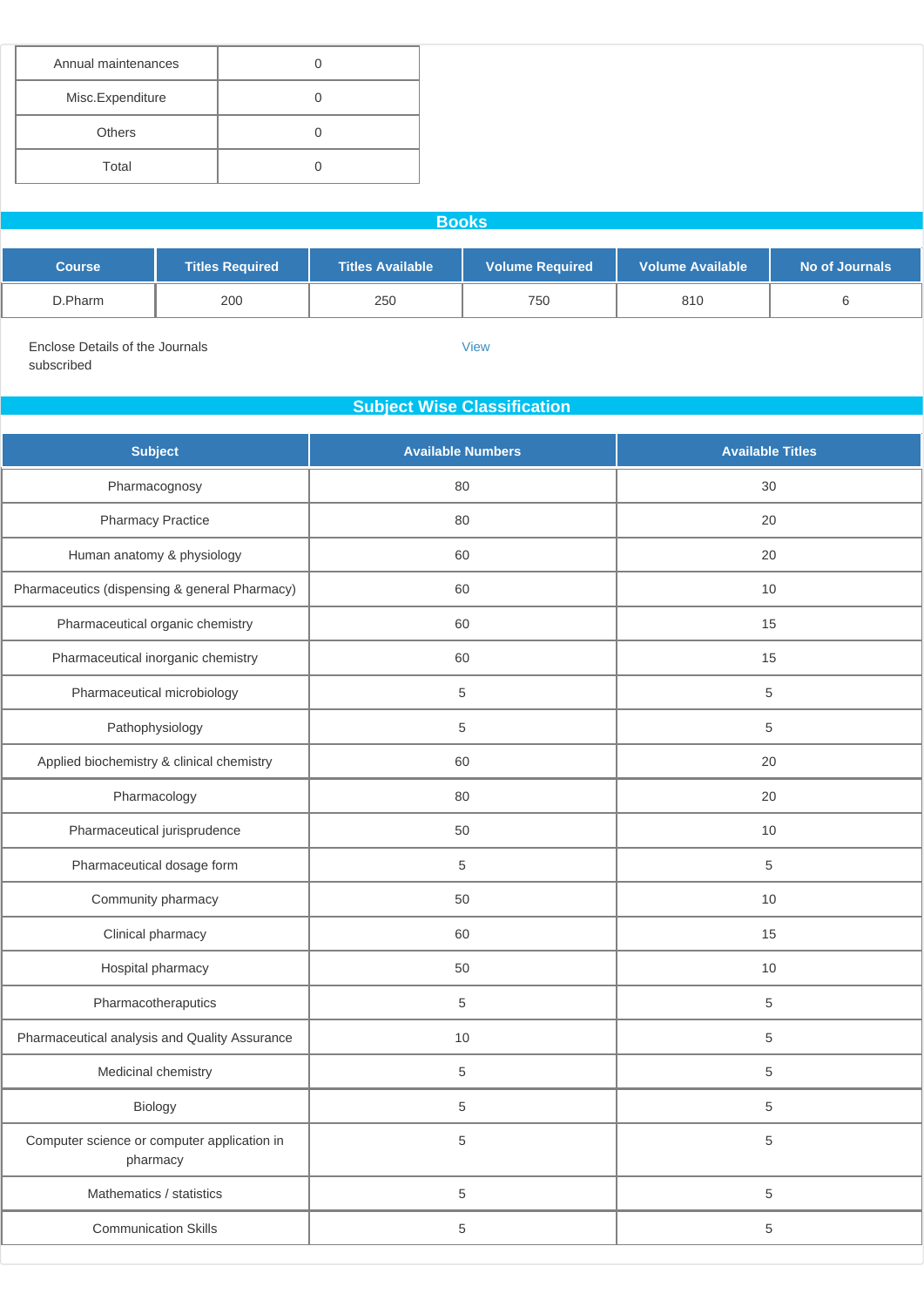| Annual maintenances |  |
|---------------------|--|
| Misc.Expenditure    |  |
| <b>Others</b>       |  |
| Total               |  |

**Books**

| <b>Course</b> | <b>Titles Required</b> | <b>Titles Available</b> | <b>Volume Required</b> | <b>Volume Available</b> | No of Journals |
|---------------|------------------------|-------------------------|------------------------|-------------------------|----------------|
| D.Pharm       | 200                    | 250                     | 750                    | 810                     |                |

[View](http://www.sif.nic.in/institute/getmongoPdfFile.do?renreceiptid=76a0a936-70af-46c2-8c23-3ed6ac6fff82&tablename=bookjournal)

Enclose Details of the Journals subscribed

### **Subject Wise Classification**

| <b>Subject</b>                                          | <b>Available Numbers</b> | <b>Available Titles</b> |
|---------------------------------------------------------|--------------------------|-------------------------|
| Pharmacognosy                                           | 80                       | 30                      |
| <b>Pharmacy Practice</b>                                | 80                       | 20                      |
| Human anatomy & physiology                              | 60                       | 20                      |
| Pharmaceutics (dispensing & general Pharmacy)           | 60                       | 10                      |
| Pharmaceutical organic chemistry                        | 60                       | 15                      |
| Pharmaceutical inorganic chemistry                      | 60                       | 15                      |
| Pharmaceutical microbiology                             | $\sqrt{5}$               | $\sqrt{5}$              |
| Pathophysiology                                         | $\,$ 5 $\,$              | $\,$ 5 $\,$             |
| Applied biochemistry & clinical chemistry               | 60                       | 20                      |
| Pharmacology                                            | 80                       | 20                      |
| Pharmaceutical jurisprudence                            | 50                       | 10                      |
| Pharmaceutical dosage form                              | $\sqrt{5}$               | $\,$ 5 $\,$             |
| Community pharmacy                                      | 50                       | 10                      |
| Clinical pharmacy                                       | 60                       | 15                      |
| Hospital pharmacy                                       | 50                       | 10                      |
| Pharmacotheraputics                                     | 5                        | $\,$ 5 $\,$             |
| Pharmaceutical analysis and Quality Assurance           | 10                       | $\sqrt{5}$              |
| Medicinal chemistry                                     | $\,$ 5 $\,$              | $\,$ 5 $\,$             |
| Biology                                                 | $\,$ 5 $\,$              | $\,$ 5 $\,$             |
| Computer science or computer application in<br>pharmacy | 5                        | $\,$ 5 $\,$             |
| Mathematics / statistics                                | $\,$ 5 $\,$              | $\,$ 5 $\,$             |
| <b>Communication Skills</b>                             | 5                        | $\,$ 5 $\,$             |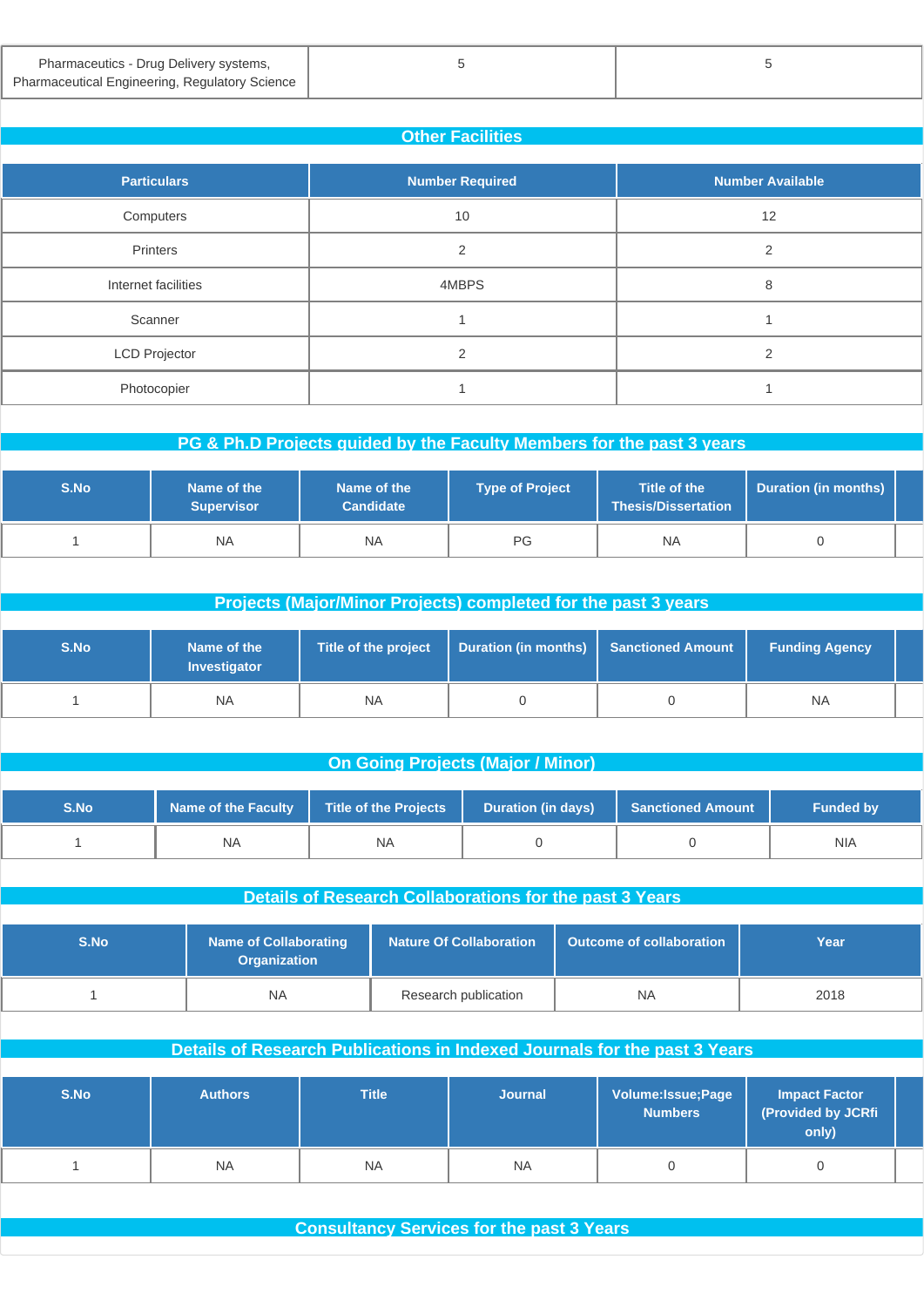| Pharmaceutics - Drug Delivery systems,                |
|-------------------------------------------------------|
| <b>Pharmaceutical Engineering, Regulatory Science</b> |

| <b>Other Facilities</b> |                        |                         |  |  |  |  |
|-------------------------|------------------------|-------------------------|--|--|--|--|
| <b>Particulars</b>      | <b>Number Required</b> | <b>Number Available</b> |  |  |  |  |
| Computers               | 10                     | 12                      |  |  |  |  |
| Printers                | $\mathfrak{p}$         | $\mathcal{P}$           |  |  |  |  |
| Internet facilities     | 4MBPS                  | 8                       |  |  |  |  |
| Scanner                 |                        |                         |  |  |  |  |
| <b>LCD Projector</b>    | $\mathfrak{D}$         | $\mathfrak{D}$          |  |  |  |  |
| Photocopier             |                        |                         |  |  |  |  |

| PG & Ph.D Projects guided by the Faculty Members for the past 3 years |                                  |                                 |                        |                                            |                      |  |
|-----------------------------------------------------------------------|----------------------------------|---------------------------------|------------------------|--------------------------------------------|----------------------|--|
| S.No                                                                  | Name of the<br><b>Supervisor</b> | Name of the<br><b>Candidate</b> | <b>Type of Project</b> | Title of the<br><b>Thesis/Dissertation</b> | Duration (in months) |  |
|                                                                       | <b>NA</b>                        | <b>NA</b>                       | PG                     | <b>NA</b>                                  |                      |  |
|                                                                       |                                  |                                 |                        |                                            |                      |  |

| Projects (Major/Minor Projects) completed for the past 3 years |                             |                      |                             |                          |                       |  |  |
|----------------------------------------------------------------|-----------------------------|----------------------|-----------------------------|--------------------------|-----------------------|--|--|
| S.No                                                           | Name of the<br>Investigator | Title of the project | <b>Duration (in months)</b> | <b>Sanctioned Amount</b> | <b>Funding Agency</b> |  |  |
|                                                                | <b>NA</b>                   | <b>NA</b>            |                             |                          | NA.                   |  |  |

|  | <b>On Going Projects (Major / Minor)</b> |  |
|--|------------------------------------------|--|
|  |                                          |  |

| S.No | Name of the Faculty | Title of the Projects | <b>Duration (in days)</b> | <b>Sanctioned Amount</b> | <b>Funded by</b> |
|------|---------------------|-----------------------|---------------------------|--------------------------|------------------|
|      | <b>NA</b>           | <b>NA</b>             |                           |                          | <b>NIA</b>       |

| Details of Research Collaborations for the past 3 Years |                                                     |                                |                                 |      |  |  |
|---------------------------------------------------------|-----------------------------------------------------|--------------------------------|---------------------------------|------|--|--|
| S.No                                                    | <b>Name of Collaborating</b><br><b>Organization</b> | <b>Nature Of Collaboration</b> | <b>Outcome of collaboration</b> | Year |  |  |
|                                                         | <b>NA</b>                                           | Research publication           | <b>NA</b>                       | 2018 |  |  |

| Details of Research Publications in Indexed Journals for the past 3 Years |                |              |                |                                       |                                                     |  |
|---------------------------------------------------------------------------|----------------|--------------|----------------|---------------------------------------|-----------------------------------------------------|--|
| S.No                                                                      | <b>Authors</b> | <b>Title</b> | <b>Journal</b> | Volume: Issue; Page<br><b>Numbers</b> | <b>Impact Factor</b><br>(Provided by JCRfi<br>only) |  |
|                                                                           | <b>NA</b>      | <b>NA</b>    | <b>NA</b>      |                                       |                                                     |  |

**Consultancy Services for the past 3 Years**

 $5$  5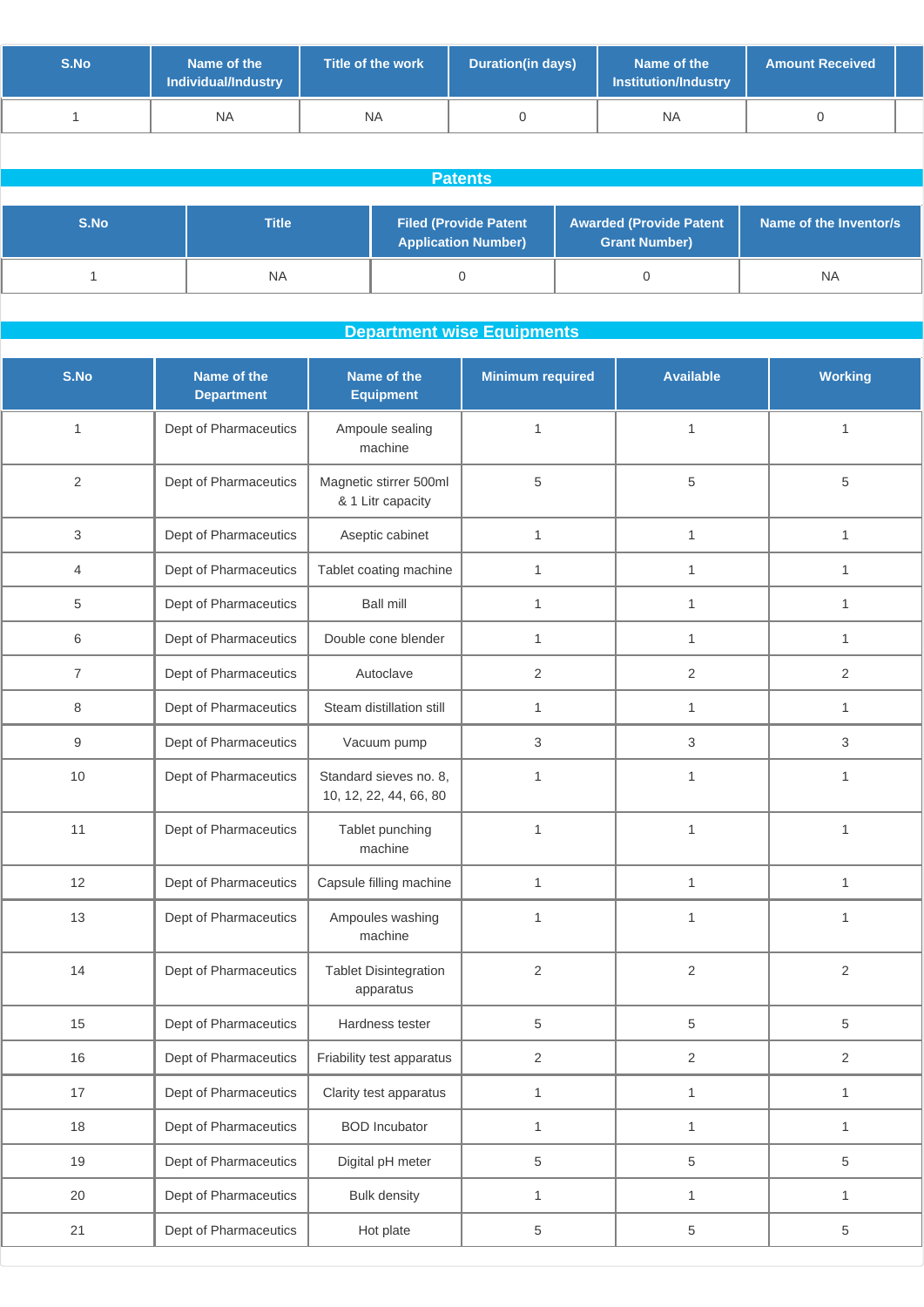| S.No | Name of the<br>Individual/Industry | Title of the work | <b>Duration(in days)</b> | Name of the<br><b>Institution/Industry</b> | <b>Amount Received</b> |  |
|------|------------------------------------|-------------------|--------------------------|--------------------------------------------|------------------------|--|
|      | <b>NA</b>                          | ΝA                |                          | NA                                         |                        |  |

| <b>Patents</b> |              |                                                            |                                                        |                        |  |  |
|----------------|--------------|------------------------------------------------------------|--------------------------------------------------------|------------------------|--|--|
|                |              |                                                            |                                                        |                        |  |  |
| S.No           | <b>Title</b> | <b>Filed (Provide Patent</b><br><b>Application Number)</b> | <b>Awarded (Provide Patent</b><br><b>Grant Number)</b> | Name of the Inventor/s |  |  |
|                | <b>NA</b>    |                                                            |                                                        | <b>NA</b>              |  |  |

### **Department wise Equipments**

| S.No           | Name of the<br><b>Department</b> | Name of the<br><b>Equipment</b>                  | <b>Minimum required</b> | <b>Available</b> | <b>Working</b> |
|----------------|----------------------------------|--------------------------------------------------|-------------------------|------------------|----------------|
| 1              | Dept of Pharmaceutics            | Ampoule sealing<br>machine                       | $\mathbf{1}$            | $\mathbf{1}$     | 1              |
| $\overline{2}$ | Dept of Pharmaceutics            | Magnetic stirrer 500ml<br>& 1 Litr capacity      | 5                       | 5                | $\,$ 5 $\,$    |
| 3              | Dept of Pharmaceutics            | Aseptic cabinet                                  | $\mathbf{1}$            | $\mathbf{1}$     | $\mathbf{1}$   |
| $\overline{4}$ | Dept of Pharmaceutics            | Tablet coating machine                           | $\mathbf{1}$            | $\mathbf{1}$     | $\mathbf{1}$   |
| 5              | Dept of Pharmaceutics            | <b>Ball mill</b>                                 | 1                       | $\mathbf{1}$     | 1              |
| 6              | Dept of Pharmaceutics            | Double cone blender                              | $\mathbf{1}$            | $\mathbf{1}$     | 1              |
| $\overline{7}$ | Dept of Pharmaceutics            | Autoclave                                        | $\overline{2}$          | 2                | $\overline{2}$ |
| 8              | Dept of Pharmaceutics            | Steam distillation still                         | $\mathbf{1}$            | $\mathbf{1}$     | $\mathbf{1}$   |
| 9              | Dept of Pharmaceutics            | Vacuum pump                                      | 3                       | 3                | $\mathfrak{B}$ |
| $10$           | Dept of Pharmaceutics            | Standard sieves no. 8,<br>10, 12, 22, 44, 66, 80 | $\mathbf{1}$            | $\mathbf{1}$     | $\mathbf{1}$   |
| 11             | Dept of Pharmaceutics            | Tablet punching<br>machine                       | 1                       | 1                | 1              |
| 12             | Dept of Pharmaceutics            | Capsule filling machine                          | $\mathbf{1}$            | $\mathbf{1}$     | $\mathbf{1}$   |
| 13             | Dept of Pharmaceutics            | Ampoules washing<br>machine                      | $\mathbf{1}$            | $\mathbf{1}$     | 1              |
| 14             | Dept of Pharmaceutics            | <b>Tablet Disintegration</b><br>apparatus        | $\overline{2}$          | $\overline{2}$   | $\overline{2}$ |
| 15             | Dept of Pharmaceutics            | Hardness tester                                  | 5                       | 5                | $\,$ 5 $\,$    |
| 16             | Dept of Pharmaceutics            | Friability test apparatus                        | $\overline{2}$          | $\overline{c}$   | $\sqrt{2}$     |
| 17             | Dept of Pharmaceutics            | Clarity test apparatus                           | $\mathbf{1}$            | $\mathbf{1}$     | $\mathbf{1}$   |
| 18             | Dept of Pharmaceutics            | <b>BOD</b> Incubator                             | $\mathbf{1}$            | $\mathbf{1}$     | $\mathbf{1}$   |
| 19             | Dept of Pharmaceutics            | Digital pH meter                                 | 5                       | 5                | $\,$ 5 $\,$    |
| 20             | Dept of Pharmaceutics            | <b>Bulk density</b>                              | $\mathbf{1}$            | $\mathbf{1}$     | $\mathbf{1}$   |
| 21             | Dept of Pharmaceutics            | Hot plate                                        | 5                       | 5                | 5              |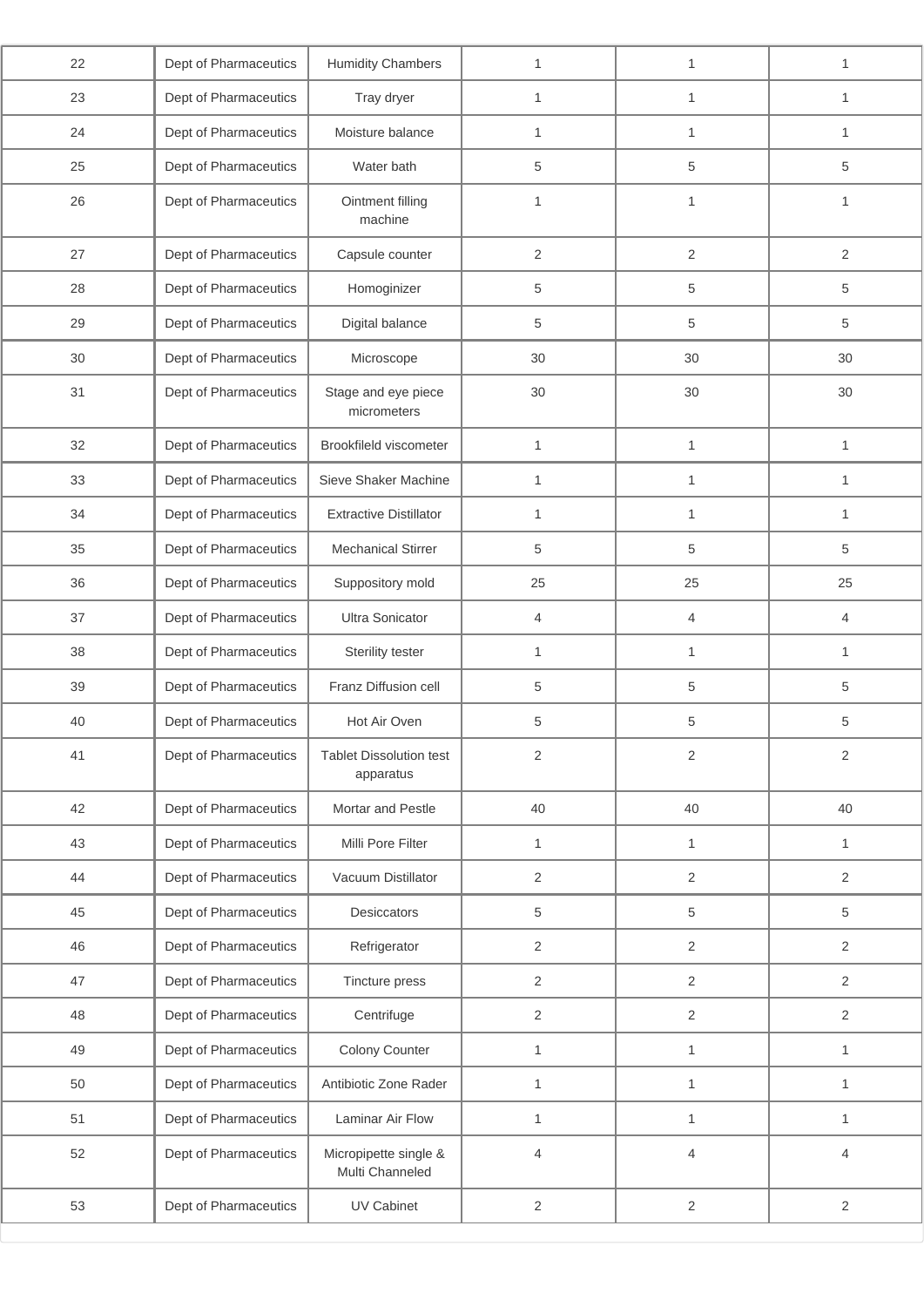| 22 | Dept of Pharmaceutics | <b>Humidity Chambers</b>                    | $\mathbf{1}$   | 1              | $\mathbf{1}$   |
|----|-----------------------|---------------------------------------------|----------------|----------------|----------------|
| 23 | Dept of Pharmaceutics | Tray dryer                                  | 1              | $\mathbf{1}$   | 1              |
| 24 | Dept of Pharmaceutics | Moisture balance                            | 1              | 1              | $\mathbf{1}$   |
| 25 | Dept of Pharmaceutics | Water bath                                  | 5              | 5              | 5              |
| 26 | Dept of Pharmaceutics | Ointment filling<br>machine                 | $\mathbf{1}$   | $\mathbf{1}$   | $\mathbf{1}$   |
| 27 | Dept of Pharmaceutics | Capsule counter                             | 2              | 2              | 2              |
| 28 | Dept of Pharmaceutics | Homoginizer                                 | 5              | 5              | $\,$ 5 $\,$    |
| 29 | Dept of Pharmaceutics | Digital balance                             | 5              | 5              | 5              |
| 30 | Dept of Pharmaceutics | Microscope                                  | 30             | 30             | 30             |
| 31 | Dept of Pharmaceutics | Stage and eye piece<br>micrometers          | 30             | 30             | $30\,$         |
| 32 | Dept of Pharmaceutics | Brookfileld viscometer                      | $\mathbf{1}$   | $\mathbf{1}$   | $\mathbf{1}$   |
| 33 | Dept of Pharmaceutics | Sieve Shaker Machine                        | $\mathbf{1}$   | $\mathbf{1}$   | $\mathbf{1}$   |
| 34 | Dept of Pharmaceutics | <b>Extractive Distillator</b>               | $\mathbf{1}$   | 1              | $\mathbf{1}$   |
| 35 | Dept of Pharmaceutics | <b>Mechanical Stirrer</b>                   | 5              | 5              | $\,$ 5 $\,$    |
| 36 | Dept of Pharmaceutics | Suppository mold                            | 25             | 25             | 25             |
| 37 | Dept of Pharmaceutics | <b>Ultra Sonicator</b>                      | 4              | $\overline{4}$ | $\overline{4}$ |
| 38 | Dept of Pharmaceutics | Sterility tester                            | $\mathbf{1}$   | $\mathbf{1}$   | $\mathbf{1}$   |
| 39 | Dept of Pharmaceutics | Franz Diffusion cell                        | 5              | $\,$ 5 $\,$    | 5              |
| 40 | Dept of Pharmaceutics | Hot Air Oven                                | 5              | $\,$ 5 $\,$    | 5              |
| 41 | Dept of Pharmaceutics | <b>Tablet Dissolution test</b><br>apparatus | 2              | $\sqrt{2}$     | $\sqrt{2}$     |
| 42 | Dept of Pharmaceutics | Mortar and Pestle                           | 40             | 40             | 40             |
| 43 | Dept of Pharmaceutics | Milli Pore Filter                           | $\mathbf{1}$   | $\mathbf{1}$   | $\mathbf{1}$   |
| 44 | Dept of Pharmaceutics | Vacuum Distillator                          | $\overline{2}$ | $\mathbf{2}$   | $\mathbf{2}$   |
| 45 | Dept of Pharmaceutics | Desiccators                                 | 5              | 5              | 5              |
| 46 | Dept of Pharmaceutics | Refrigerator                                | $\mathbf{2}$   | $\overline{2}$ | $\sqrt{2}$     |
| 47 | Dept of Pharmaceutics | Tincture press                              | $\overline{2}$ | 2              | 2              |
| 48 | Dept of Pharmaceutics | Centrifuge                                  | $\mathbf{2}$   | $\overline{2}$ | $\overline{2}$ |
| 49 | Dept of Pharmaceutics | Colony Counter                              | $\mathbf{1}$   | $\mathbf{1}$   | $\mathbf{1}$   |
| 50 | Dept of Pharmaceutics | Antibiotic Zone Rader                       | $\mathbf{1}$   | $\mathbf{1}$   | $\mathbf{1}$   |
| 51 | Dept of Pharmaceutics | Laminar Air Flow                            | $\mathbf{1}$   | $\mathbf{1}$   | $\mathbf{1}$   |
| 52 | Dept of Pharmaceutics | Micropipette single &<br>Multi Channeled    | $\overline{4}$ | $\overline{4}$ | $\overline{4}$ |
| 53 | Dept of Pharmaceutics | <b>UV Cabinet</b>                           | $\overline{2}$ | $\overline{c}$ | $\sqrt{2}$     |
|    |                       |                                             |                |                |                |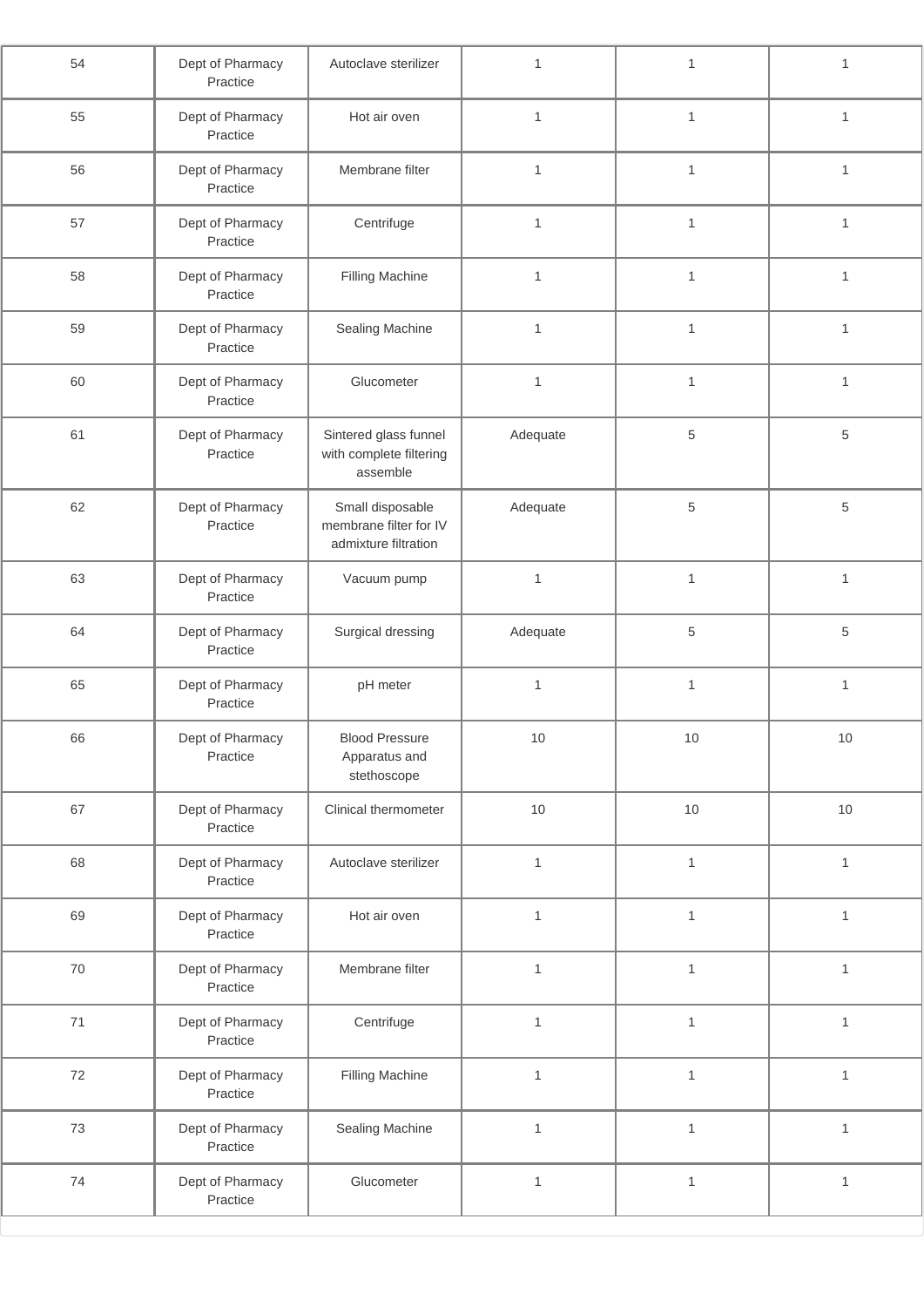| 55<br>Dept of Pharmacy<br>Hot air oven<br>$\mathbf{1}$<br>$\mathbf{1}$<br>$\mathbf{1}$<br>Practice<br>56<br>Membrane filter<br>Dept of Pharmacy<br>$\mathbf{1}$<br>$\mathbf{1}$<br>$\mathbf{1}$<br>Practice<br>57<br>$\mathbf{1}$<br>Dept of Pharmacy<br>Centrifuge<br>$\mathbf{1}$<br>$\mathbf{1}$<br>Practice<br>58<br>Dept of Pharmacy<br>Filling Machine<br>$\mathbf{1}$<br>$\mathbf{1}$<br>$\mathbf{1}$<br>Practice<br>59<br>Dept of Pharmacy<br>Sealing Machine<br>$\mathbf{1}$<br>$\mathbf{1}$<br>$\mathbf{1}$<br>Practice<br>Dept of Pharmacy<br>Glucometer<br>$\mathbf{1}$<br>$\mathbf{1}$<br>60<br>$\mathbf{1}$<br>Practice<br>$\,$ 5 $\,$<br>61<br>Dept of Pharmacy<br>Sintered glass funnel<br>5<br>Adequate<br>Practice<br>with complete filtering<br>assemble<br>62<br>Dept of Pharmacy<br>Small disposable<br>$\,$ 5 $\,$<br>Adequate<br>5<br>membrane filter for IV<br>Practice<br>admixture filtration<br>63<br>$\mathbf{1}$<br>$\mathbf{1}$<br>Dept of Pharmacy<br>Vacuum pump<br>$\mathbf{1}$<br>Practice<br>5<br>64<br>5<br>Dept of Pharmacy<br>Surgical dressing<br>Adequate<br>Practice<br>65<br>Dept of Pharmacy<br>pH meter<br>$\mathbf{1}$<br>$\mathbf{1}$<br>1<br>Practice<br>66<br>Dept of Pharmacy<br><b>Blood Pressure</b><br>$10\,$<br>10<br>10<br>Practice<br>Apparatus and<br>stethoscope<br>67<br>10<br>Dept of Pharmacy<br>Clinical thermometer<br>$10$<br>10<br>Practice<br>68<br>$\mathbf{1}$<br>$\mathbf{1}$<br>Dept of Pharmacy<br>Autoclave sterilizer<br>$\mathbf{1}$<br>Practice<br>69<br>Dept of Pharmacy<br>Hot air oven<br>$\mathbf{1}$<br>$\mathbf{1}$<br>1<br>Practice<br>$70\,$<br>Dept of Pharmacy<br>Membrane filter<br>$\mathbf{1}$<br>$\mathbf{1}$<br>$\mathbf{1}$<br>Practice<br>$71\,$<br>Dept of Pharmacy<br>Centrifuge<br>$\mathbf{1}$<br>$\mathbf{1}$<br>$\mathbf{1}$<br>Practice<br>$72\,$<br>Dept of Pharmacy<br><b>Filling Machine</b><br>$\mathbf{1}$<br>$\mathbf{1}$<br>$\mathbf{1}$<br>Practice<br>73<br>Sealing Machine<br>Dept of Pharmacy<br>$\mathbf{1}$<br>$\mathbf{1}$<br>$\mathbf{1}$<br>Practice<br>$74$<br>$\mathbf{1}$<br>$\mathbf{1}$<br>Dept of Pharmacy<br>Glucometer<br>$\mathbf{1}$<br>Practice | 54 | Dept of Pharmacy<br>Practice | Autoclave sterilizer | $\mathbf{1}$ | $\mathbf{1}$ | $\mathbf{1}$ |
|------------------------------------------------------------------------------------------------------------------------------------------------------------------------------------------------------------------------------------------------------------------------------------------------------------------------------------------------------------------------------------------------------------------------------------------------------------------------------------------------------------------------------------------------------------------------------------------------------------------------------------------------------------------------------------------------------------------------------------------------------------------------------------------------------------------------------------------------------------------------------------------------------------------------------------------------------------------------------------------------------------------------------------------------------------------------------------------------------------------------------------------------------------------------------------------------------------------------------------------------------------------------------------------------------------------------------------------------------------------------------------------------------------------------------------------------------------------------------------------------------------------------------------------------------------------------------------------------------------------------------------------------------------------------------------------------------------------------------------------------------------------------------------------------------------------------------------------------------------------------------------------------------------------------------------------------------------------------------------------------------------------------------------------------------------------------------------------------------------------------------------------------------------------------------|----|------------------------------|----------------------|--------------|--------------|--------------|
|                                                                                                                                                                                                                                                                                                                                                                                                                                                                                                                                                                                                                                                                                                                                                                                                                                                                                                                                                                                                                                                                                                                                                                                                                                                                                                                                                                                                                                                                                                                                                                                                                                                                                                                                                                                                                                                                                                                                                                                                                                                                                                                                                                              |    |                              |                      |              |              |              |
|                                                                                                                                                                                                                                                                                                                                                                                                                                                                                                                                                                                                                                                                                                                                                                                                                                                                                                                                                                                                                                                                                                                                                                                                                                                                                                                                                                                                                                                                                                                                                                                                                                                                                                                                                                                                                                                                                                                                                                                                                                                                                                                                                                              |    |                              |                      |              |              |              |
|                                                                                                                                                                                                                                                                                                                                                                                                                                                                                                                                                                                                                                                                                                                                                                                                                                                                                                                                                                                                                                                                                                                                                                                                                                                                                                                                                                                                                                                                                                                                                                                                                                                                                                                                                                                                                                                                                                                                                                                                                                                                                                                                                                              |    |                              |                      |              |              |              |
|                                                                                                                                                                                                                                                                                                                                                                                                                                                                                                                                                                                                                                                                                                                                                                                                                                                                                                                                                                                                                                                                                                                                                                                                                                                                                                                                                                                                                                                                                                                                                                                                                                                                                                                                                                                                                                                                                                                                                                                                                                                                                                                                                                              |    |                              |                      |              |              |              |
|                                                                                                                                                                                                                                                                                                                                                                                                                                                                                                                                                                                                                                                                                                                                                                                                                                                                                                                                                                                                                                                                                                                                                                                                                                                                                                                                                                                                                                                                                                                                                                                                                                                                                                                                                                                                                                                                                                                                                                                                                                                                                                                                                                              |    |                              |                      |              |              |              |
|                                                                                                                                                                                                                                                                                                                                                                                                                                                                                                                                                                                                                                                                                                                                                                                                                                                                                                                                                                                                                                                                                                                                                                                                                                                                                                                                                                                                                                                                                                                                                                                                                                                                                                                                                                                                                                                                                                                                                                                                                                                                                                                                                                              |    |                              |                      |              |              |              |
|                                                                                                                                                                                                                                                                                                                                                                                                                                                                                                                                                                                                                                                                                                                                                                                                                                                                                                                                                                                                                                                                                                                                                                                                                                                                                                                                                                                                                                                                                                                                                                                                                                                                                                                                                                                                                                                                                                                                                                                                                                                                                                                                                                              |    |                              |                      |              |              |              |
|                                                                                                                                                                                                                                                                                                                                                                                                                                                                                                                                                                                                                                                                                                                                                                                                                                                                                                                                                                                                                                                                                                                                                                                                                                                                                                                                                                                                                                                                                                                                                                                                                                                                                                                                                                                                                                                                                                                                                                                                                                                                                                                                                                              |    |                              |                      |              |              |              |
|                                                                                                                                                                                                                                                                                                                                                                                                                                                                                                                                                                                                                                                                                                                                                                                                                                                                                                                                                                                                                                                                                                                                                                                                                                                                                                                                                                                                                                                                                                                                                                                                                                                                                                                                                                                                                                                                                                                                                                                                                                                                                                                                                                              |    |                              |                      |              |              |              |
|                                                                                                                                                                                                                                                                                                                                                                                                                                                                                                                                                                                                                                                                                                                                                                                                                                                                                                                                                                                                                                                                                                                                                                                                                                                                                                                                                                                                                                                                                                                                                                                                                                                                                                                                                                                                                                                                                                                                                                                                                                                                                                                                                                              |    |                              |                      |              |              |              |
|                                                                                                                                                                                                                                                                                                                                                                                                                                                                                                                                                                                                                                                                                                                                                                                                                                                                                                                                                                                                                                                                                                                                                                                                                                                                                                                                                                                                                                                                                                                                                                                                                                                                                                                                                                                                                                                                                                                                                                                                                                                                                                                                                                              |    |                              |                      |              |              |              |
|                                                                                                                                                                                                                                                                                                                                                                                                                                                                                                                                                                                                                                                                                                                                                                                                                                                                                                                                                                                                                                                                                                                                                                                                                                                                                                                                                                                                                                                                                                                                                                                                                                                                                                                                                                                                                                                                                                                                                                                                                                                                                                                                                                              |    |                              |                      |              |              |              |
|                                                                                                                                                                                                                                                                                                                                                                                                                                                                                                                                                                                                                                                                                                                                                                                                                                                                                                                                                                                                                                                                                                                                                                                                                                                                                                                                                                                                                                                                                                                                                                                                                                                                                                                                                                                                                                                                                                                                                                                                                                                                                                                                                                              |    |                              |                      |              |              |              |
|                                                                                                                                                                                                                                                                                                                                                                                                                                                                                                                                                                                                                                                                                                                                                                                                                                                                                                                                                                                                                                                                                                                                                                                                                                                                                                                                                                                                                                                                                                                                                                                                                                                                                                                                                                                                                                                                                                                                                                                                                                                                                                                                                                              |    |                              |                      |              |              |              |
|                                                                                                                                                                                                                                                                                                                                                                                                                                                                                                                                                                                                                                                                                                                                                                                                                                                                                                                                                                                                                                                                                                                                                                                                                                                                                                                                                                                                                                                                                                                                                                                                                                                                                                                                                                                                                                                                                                                                                                                                                                                                                                                                                                              |    |                              |                      |              |              |              |
|                                                                                                                                                                                                                                                                                                                                                                                                                                                                                                                                                                                                                                                                                                                                                                                                                                                                                                                                                                                                                                                                                                                                                                                                                                                                                                                                                                                                                                                                                                                                                                                                                                                                                                                                                                                                                                                                                                                                                                                                                                                                                                                                                                              |    |                              |                      |              |              |              |
|                                                                                                                                                                                                                                                                                                                                                                                                                                                                                                                                                                                                                                                                                                                                                                                                                                                                                                                                                                                                                                                                                                                                                                                                                                                                                                                                                                                                                                                                                                                                                                                                                                                                                                                                                                                                                                                                                                                                                                                                                                                                                                                                                                              |    |                              |                      |              |              |              |
|                                                                                                                                                                                                                                                                                                                                                                                                                                                                                                                                                                                                                                                                                                                                                                                                                                                                                                                                                                                                                                                                                                                                                                                                                                                                                                                                                                                                                                                                                                                                                                                                                                                                                                                                                                                                                                                                                                                                                                                                                                                                                                                                                                              |    |                              |                      |              |              |              |
|                                                                                                                                                                                                                                                                                                                                                                                                                                                                                                                                                                                                                                                                                                                                                                                                                                                                                                                                                                                                                                                                                                                                                                                                                                                                                                                                                                                                                                                                                                                                                                                                                                                                                                                                                                                                                                                                                                                                                                                                                                                                                                                                                                              |    |                              |                      |              |              |              |
|                                                                                                                                                                                                                                                                                                                                                                                                                                                                                                                                                                                                                                                                                                                                                                                                                                                                                                                                                                                                                                                                                                                                                                                                                                                                                                                                                                                                                                                                                                                                                                                                                                                                                                                                                                                                                                                                                                                                                                                                                                                                                                                                                                              |    |                              |                      |              |              |              |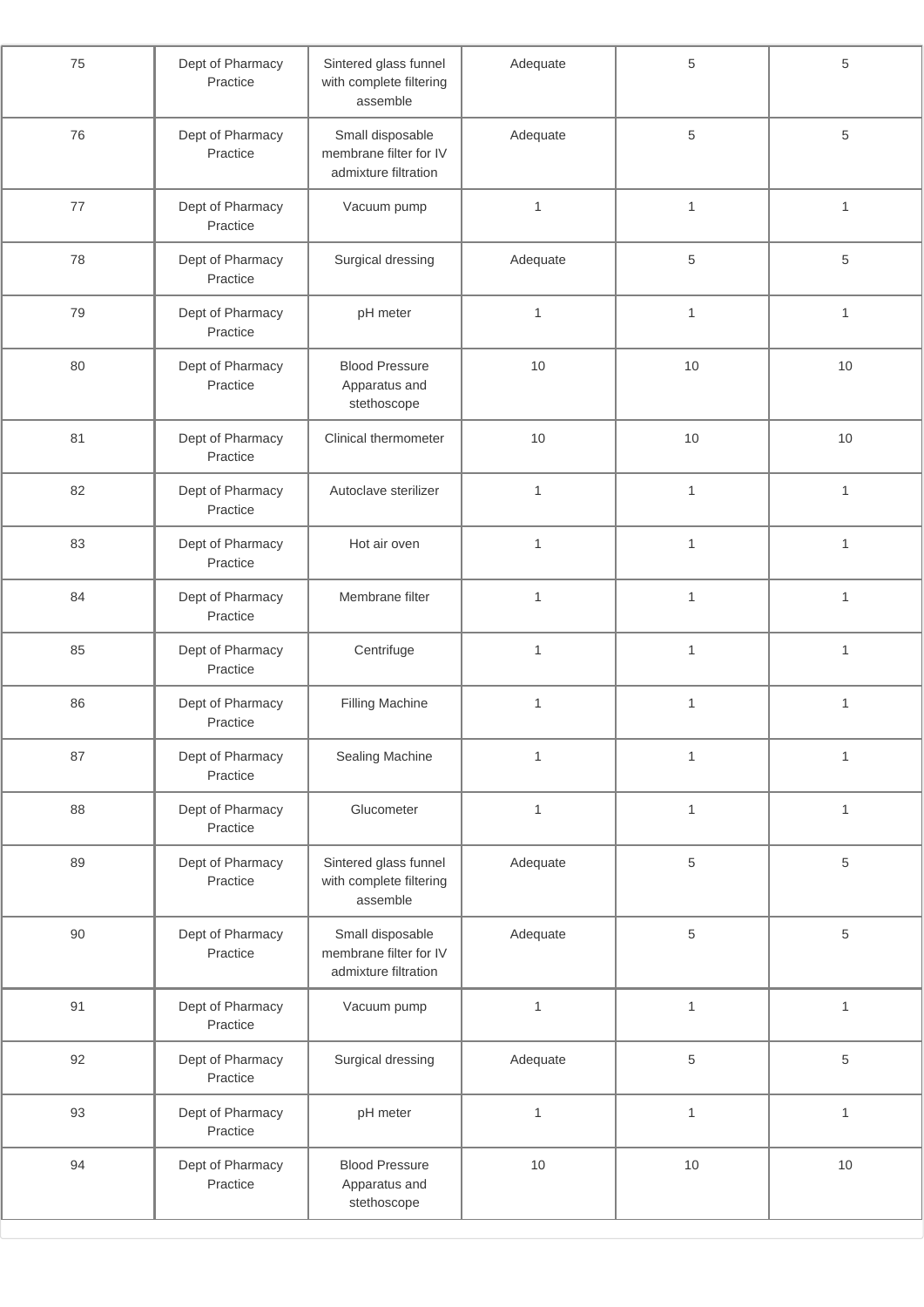| 75 | Dept of Pharmacy<br>Practice | Adequate<br>Sintered glass funnel<br>with complete filtering<br>assemble |                              | 5            | $\,$ 5 $\,$  |
|----|------------------------------|--------------------------------------------------------------------------|------------------------------|--------------|--------------|
| 76 | Dept of Pharmacy<br>Practice | Small disposable<br>membrane filter for IV<br>admixture filtration       | Adequate                     | 5            | $\sqrt{5}$   |
| 77 | Dept of Pharmacy<br>Practice | Vacuum pump                                                              | $\mathbf{1}$                 | $\mathbf{1}$ | $\mathbf{1}$ |
| 78 | Dept of Pharmacy<br>Practice | Surgical dressing                                                        | Adequate                     | 5            | $\,$ 5 $\,$  |
| 79 | Dept of Pharmacy<br>Practice | pH meter                                                                 | $\mathbf{1}$                 | 1            | $\mathbf{1}$ |
| 80 | Dept of Pharmacy<br>Practice | <b>Blood Pressure</b><br>Apparatus and<br>stethoscope                    | 10                           | 10           | 10           |
| 81 | Dept of Pharmacy<br>Practice | Clinical thermometer                                                     | 10                           | 10           | 10           |
| 82 | Dept of Pharmacy<br>Practice | Autoclave sterilizer                                                     | $\mathbf{1}$                 | $\mathbf{1}$ | $\mathbf{1}$ |
| 83 | Dept of Pharmacy<br>Practice | Hot air oven                                                             | $\mathbf{1}$                 | $\mathbf{1}$ | $\mathbf{1}$ |
| 84 | Dept of Pharmacy<br>Practice | Membrane filter                                                          | $\mathbf{1}$                 | $\mathbf{1}$ | $\mathbf{1}$ |
| 85 | Dept of Pharmacy<br>Practice | Centrifuge                                                               | $\mathbf{1}$                 | $\mathbf{1}$ | $\mathbf{1}$ |
| 86 | Dept of Pharmacy<br>Practice | <b>Filling Machine</b>                                                   | $\mathbf{1}$                 | $\mathbf{1}$ | $\mathbf{1}$ |
| 87 | Dept of Pharmacy<br>Practice | Sealing Machine                                                          | $\mathbf{1}$                 | 1            | $\mathbf{1}$ |
| 88 | Dept of Pharmacy<br>Practice | Glucometer                                                               | $\mathbf{1}$                 | $\mathbf{1}$ | $\mathbf{1}$ |
| 89 | Dept of Pharmacy<br>Practice | Sintered glass funnel<br>with complete filtering<br>assemble             | Adequate                     | 5            | $\sqrt{5}$   |
| 90 | Dept of Pharmacy<br>Practice | Small disposable<br>membrane filter for IV<br>admixture filtration       | Adequate                     | 5            | $\sqrt{5}$   |
| 91 | Dept of Pharmacy<br>Practice | Vacuum pump                                                              | $\mathbf{1}$                 | $\mathbf{1}$ | $\mathbf{1}$ |
| 92 | Dept of Pharmacy<br>Practice | Surgical dressing                                                        | Adequate                     | 5            | $\sqrt{5}$   |
| 93 | Dept of Pharmacy<br>Practice | pH meter                                                                 | $\mathbf{1}$<br>$\mathbf{1}$ |              | $\mathbf{1}$ |
| 94 | Dept of Pharmacy<br>Practice | <b>Blood Pressure</b><br>Apparatus and<br>stethoscope                    | $10$                         | $10$         | $10$         |
|    |                              |                                                                          |                              |              |              |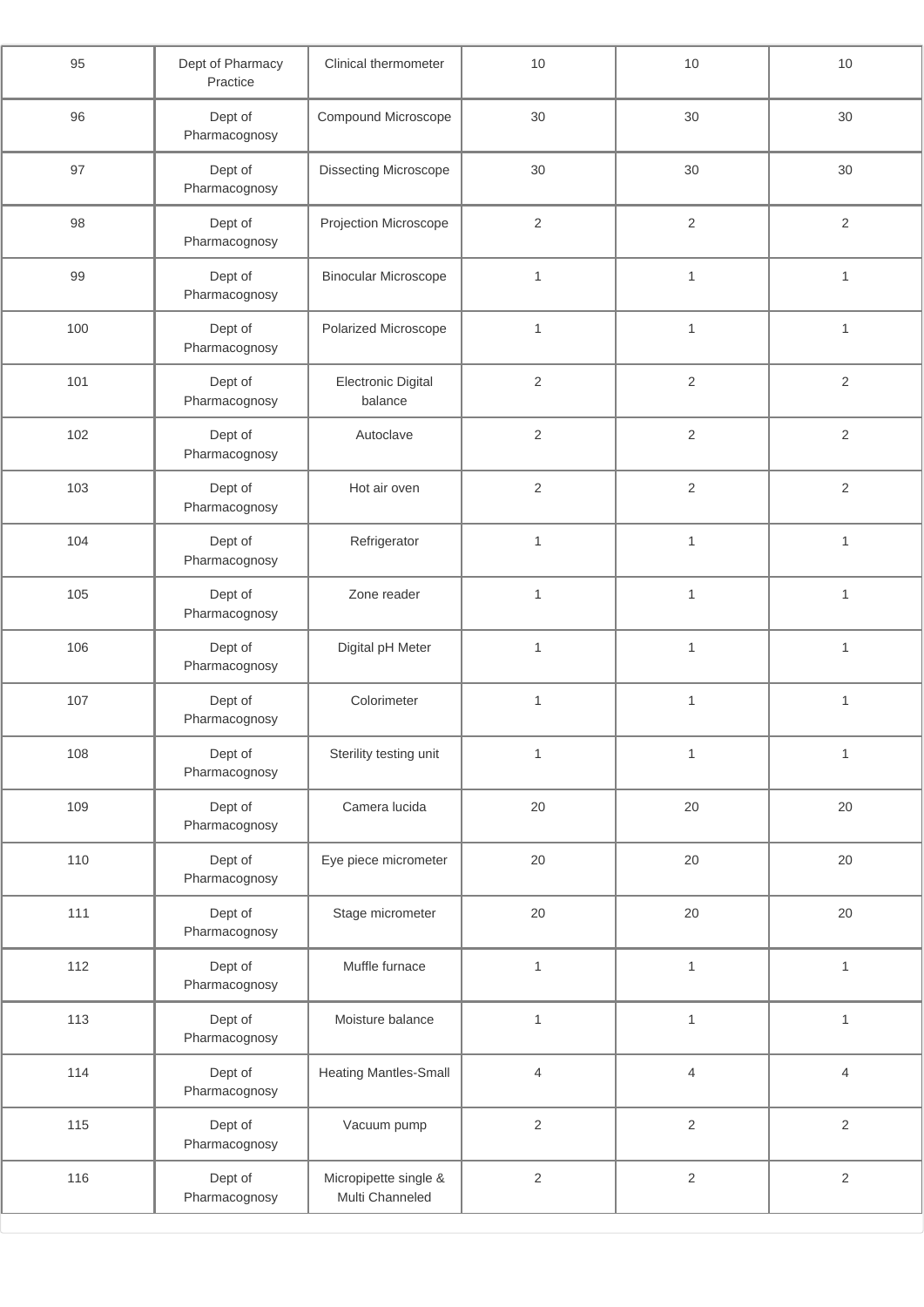| 95  | Dept of Pharmacy<br>Practice | Clinical thermometer                     | $10$           | $10$           | 10             |
|-----|------------------------------|------------------------------------------|----------------|----------------|----------------|
| 96  | Dept of<br>Pharmacognosy     | Compound Microscope                      | 30             | 30             | 30             |
| 97  | Dept of<br>Pharmacognosy     | Dissecting Microscope                    | 30             | 30             | 30             |
| 98  | Dept of<br>Pharmacognosy     | Projection Microscope                    | $\overline{2}$ | $\overline{2}$ | $\overline{2}$ |
| 99  | Dept of<br>Pharmacognosy     | <b>Binocular Microscope</b>              | $\mathbf{1}$   | $\mathbf{1}$   | $\mathbf{1}$   |
| 100 | Dept of<br>Pharmacognosy     | Polarized Microscope                     | $\mathbf{1}$   | 1              | $\mathbf{1}$   |
| 101 | Dept of<br>Pharmacognosy     | <b>Electronic Digital</b><br>balance     | $\sqrt{2}$     | $\overline{2}$ | $\mathbf 2$    |
| 102 | Dept of<br>Pharmacognosy     | Autoclave                                | $\sqrt{2}$     | $\overline{c}$ | $\mathbf 2$    |
| 103 | Dept of<br>Pharmacognosy     | Hot air oven                             | $\sqrt{2}$     | $\overline{2}$ | $\sqrt{2}$     |
| 104 | Dept of<br>Pharmacognosy     | Refrigerator                             | $\mathbf{1}$   | $\mathbf{1}$   | $\mathbf{1}$   |
| 105 | Dept of<br>Pharmacognosy     | Zone reader                              | $\mathbf{1}$   | $\mathbf{1}$   | $\mathbf{1}$   |
| 106 | Dept of<br>Pharmacognosy     | Digital pH Meter                         | $\mathbf{1}$   | $\mathbf{1}$   | $\mathbf{1}$   |
| 107 | Dept of<br>Pharmacognosy     | Colorimeter                              | $\mathbf{1}$   | 1              | $\mathbf{1}$   |
| 108 | Dept of<br>Pharmacognosy     | Sterility testing unit                   | $\mathbf{1}$   | $\mathbf{1}$   | $\mathbf{1}$   |
| 109 | Dept of<br>Pharmacognosy     | Camera lucida                            | 20             | 20             | 20             |
| 110 | Dept of<br>Pharmacognosy     | Eye piece micrometer                     | 20             | 20             | 20             |
| 111 | Dept of<br>Pharmacognosy     | Stage micrometer                         | 20             | $20\,$         | 20             |
| 112 | Dept of<br>Pharmacognosy     | Muffle furnace                           | $\mathbf{1}$   | $\mathbf{1}$   | $\mathbf{1}$   |
| 113 | Dept of<br>Pharmacognosy     | Moisture balance                         | $\mathbf{1}$   | $\mathbf{1}$   | $\mathbf{1}$   |
| 114 | Dept of<br>Pharmacognosy     | <b>Heating Mantles-Small</b>             | $\overline{4}$ | $\overline{4}$ | $\overline{4}$ |
| 115 | Dept of<br>Pharmacognosy     | Vacuum pump                              | $\sqrt{2}$     | $\overline{c}$ | $\mathbf 2$    |
| 116 | Dept of<br>Pharmacognosy     | Micropipette single &<br>Multi Channeled | $\sqrt{2}$     | $\overline{c}$ | $\mathbf 2$    |
|     |                              |                                          |                |                |                |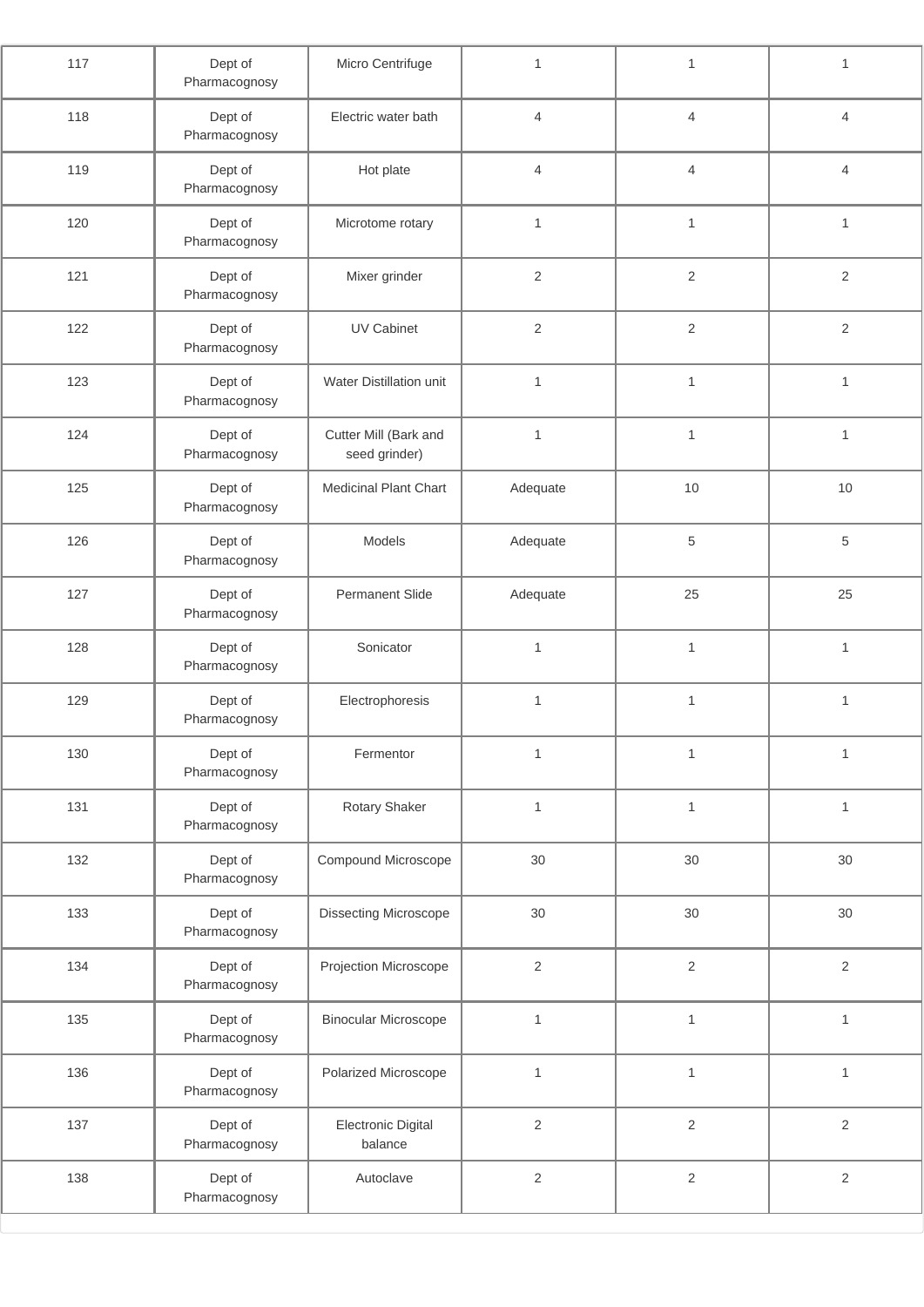| 117 | Dept of<br>Pharmacognosy | Micro Centrifuge                       | $\mathbf{1}$   | $\mathbf{1}$   | $\mathbf{1}$   |
|-----|--------------------------|----------------------------------------|----------------|----------------|----------------|
| 118 | Dept of<br>Pharmacognosy | Electric water bath                    | $\overline{4}$ | $\overline{4}$ | $\overline{4}$ |
| 119 | Dept of<br>Pharmacognosy | Hot plate                              | $\overline{4}$ | $\overline{4}$ | $\overline{4}$ |
| 120 | Dept of<br>Pharmacognosy | Microtome rotary                       | $\mathbf{1}$   | $\mathbf{1}$   | $\mathbf{1}$   |
| 121 | Dept of<br>Pharmacognosy | Mixer grinder                          | $\overline{2}$ | $\overline{2}$ | $\overline{2}$ |
| 122 | Dept of<br>Pharmacognosy | <b>UV Cabinet</b>                      | $\sqrt{2}$     | $\sqrt{2}$     | $\sqrt{2}$     |
| 123 | Dept of<br>Pharmacognosy | Water Distillation unit                | $\mathbf{1}$   | $\mathbf{1}$   | $\mathbf{1}$   |
| 124 | Dept of<br>Pharmacognosy | Cutter Mill (Bark and<br>seed grinder) | $\mathbf{1}$   | $\mathbf{1}$   | $\mathbf{1}$   |
| 125 | Dept of<br>Pharmacognosy | <b>Medicinal Plant Chart</b>           | Adequate       | 10             | $10$           |
| 126 | Dept of<br>Pharmacognosy | Models                                 | Adequate       | 5              | $\sqrt{5}$     |
| 127 | Dept of<br>Pharmacognosy | <b>Permanent Slide</b>                 | Adequate       | 25             | 25             |
| 128 | Dept of<br>Pharmacognosy | Sonicator                              | $\mathbf{1}$   | $\mathbf{1}$   | $\mathbf{1}$   |
| 129 | Dept of<br>Pharmacognosy | Electrophoresis                        | $\mathbf{1}$   | $\mathbf{1}$   | $\mathbf{1}$   |
| 130 | Dept of<br>Pharmacognosy | Fermentor                              | $\mathbf{1}$   | $\mathbf{1}$   | $\mathbf{1}$   |
| 131 | Dept of<br>Pharmacognosy | Rotary Shaker                          | $\mathbf{1}$   | $\mathbf{1}$   | $\mathbf{1}$   |
| 132 | Dept of<br>Pharmacognosy | Compound Microscope                    | 30             | 30             | 30             |
| 133 | Dept of<br>Pharmacognosy | Dissecting Microscope                  | 30             | $30\,$         | 30             |
| 134 | Dept of<br>Pharmacognosy | Projection Microscope                  | $\sqrt{2}$     | $\overline{2}$ | $\sqrt{2}$     |
| 135 | Dept of<br>Pharmacognosy | <b>Binocular Microscope</b>            | $\mathbf{1}$   | $\mathbf{1}$   | $\mathbf{1}$   |
| 136 | Dept of<br>Pharmacognosy | Polarized Microscope                   | $\mathbf{1}$   | $\mathbf{1}$   | $\mathbf{1}$   |
| 137 | Dept of<br>Pharmacognosy | <b>Electronic Digital</b><br>balance   | $\sqrt{2}$     | $\overline{2}$ | $\sqrt{2}$     |
| 138 | Dept of<br>Pharmacognosy | Autoclave                              | $\sqrt{2}$     | $\mathbf{2}$   | $\sqrt{2}$     |
|     |                          |                                        |                |                |                |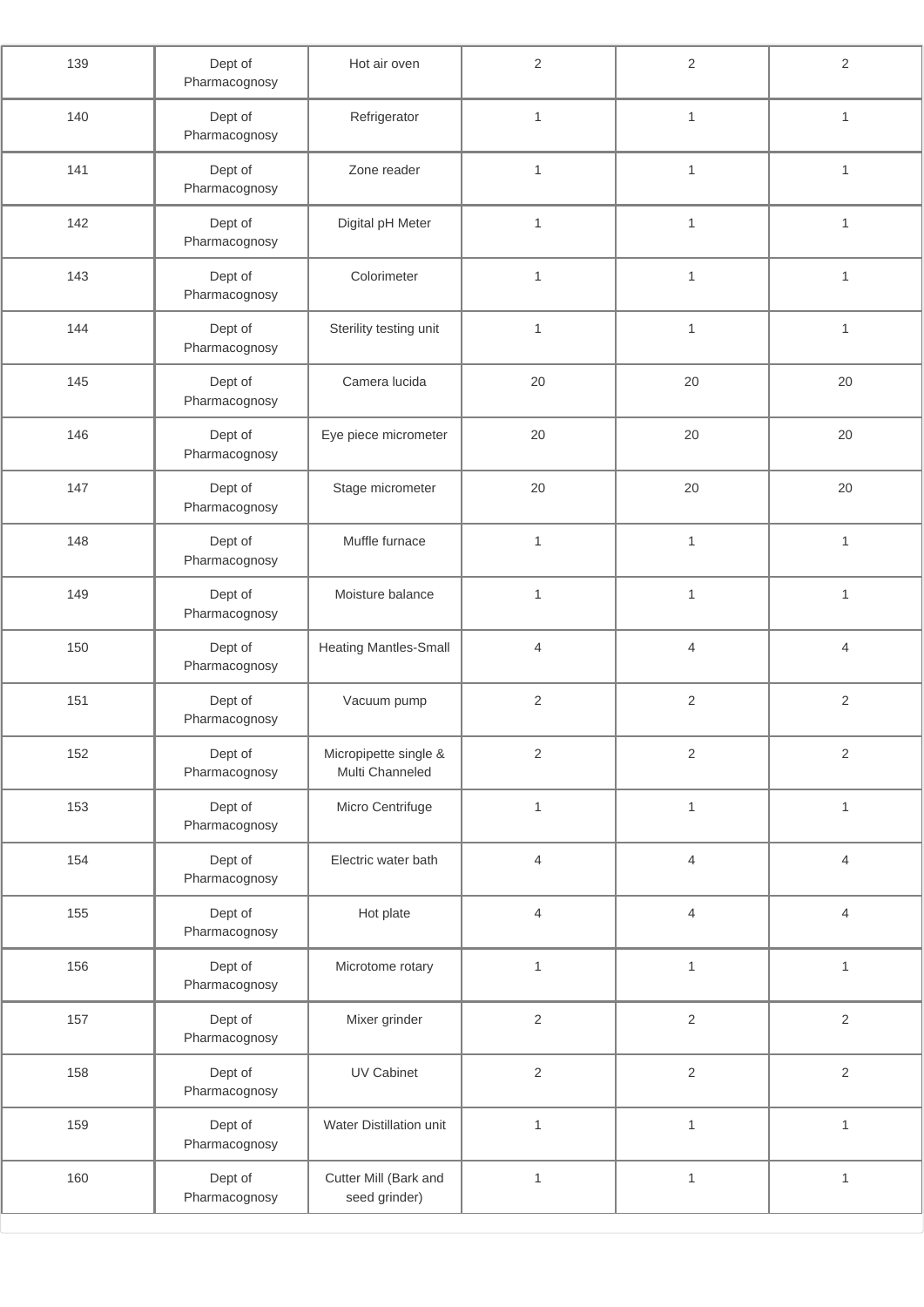| 139 | Dept of<br>Pharmacognosy | Hot air oven                             | $\mathbf{2}$   | $\overline{2}$           | $\overline{2}$ |
|-----|--------------------------|------------------------------------------|----------------|--------------------------|----------------|
| 140 | Dept of<br>Pharmacognosy | Refrigerator                             | $\mathbf{1}$   | $\mathbf{1}$             | $\mathbf{1}$   |
| 141 | Dept of<br>Pharmacognosy | Zone reader                              | $\mathbf{1}$   | $\mathbf{1}$             | $\mathbf{1}$   |
| 142 | Dept of<br>Pharmacognosy | Digital pH Meter                         | $\mathbf{1}$   | $\mathbf{1}$             | $\mathbf{1}$   |
| 143 | Dept of<br>Pharmacognosy | Colorimeter                              | $\mathbf{1}$   | $\mathbf{1}$             | $\mathbf{1}$   |
| 144 | Dept of<br>Pharmacognosy | Sterility testing unit                   | $\mathbf{1}$   | $\mathbf{1}$             | $\mathbf{1}$   |
| 145 | Dept of<br>Pharmacognosy | Camera lucida                            | 20             | 20                       | 20             |
| 146 | Dept of<br>Pharmacognosy | Eye piece micrometer                     | 20             | 20                       | 20             |
| 147 | Dept of<br>Pharmacognosy | Stage micrometer                         | 20             | 20                       | 20             |
| 148 | Dept of<br>Pharmacognosy | Muffle furnace                           | $\mathbf{1}$   | $\mathbf{1}$             | $\mathbf{1}$   |
| 149 | Dept of<br>Pharmacognosy | Moisture balance                         | $\mathbf{1}$   | $\mathbf{1}$             | $\mathbf{1}$   |
| 150 | Dept of<br>Pharmacognosy | <b>Heating Mantles-Small</b>             | $\overline{4}$ | $\overline{4}$           | $\overline{4}$ |
| 151 | Dept of<br>Pharmacognosy | Vacuum pump                              | $\overline{2}$ | $\sqrt{2}$               | $\overline{2}$ |
| 152 | Dept of<br>Pharmacognosy | Micropipette single &<br>Multi Channeled | $\mathbf{2}$   | $\sqrt{2}$               | $\sqrt{2}$     |
| 153 | Dept of<br>Pharmacognosy | Micro Centrifuge                         | $\mathbf{1}$   | $\mathbf{1}$             | $\mathbf{1}$   |
| 154 | Dept of<br>Pharmacognosy | Electric water bath                      | $\overline{4}$ | $\overline{\mathcal{L}}$ | $\overline{4}$ |
| 155 | Dept of<br>Pharmacognosy | Hot plate                                | $\overline{4}$ | $\overline{4}$           | $\overline{4}$ |
| 156 | Dept of<br>Pharmacognosy | Microtome rotary                         | $\mathbf{1}$   | $\mathbf{1}$             | $\mathbf{1}$   |
| 157 | Dept of<br>Pharmacognosy | Mixer grinder                            | $\overline{2}$ | $\overline{c}$           | $\mathbf 2$    |
| 158 | Dept of<br>Pharmacognosy | UV Cabinet                               | $\mathbf{2}$   | $\overline{c}$           | $\sqrt{2}$     |
| 159 | Dept of<br>Pharmacognosy | Water Distillation unit                  | $\mathbf{1}$   | $\mathbf{1}$             | $\mathbf{1}$   |
| 160 | Dept of<br>Pharmacognosy | Cutter Mill (Bark and<br>seed grinder)   | $\mathbf{1}$   | $\mathbf{1}$             | $\mathbf{1}$   |
|     |                          |                                          |                |                          |                |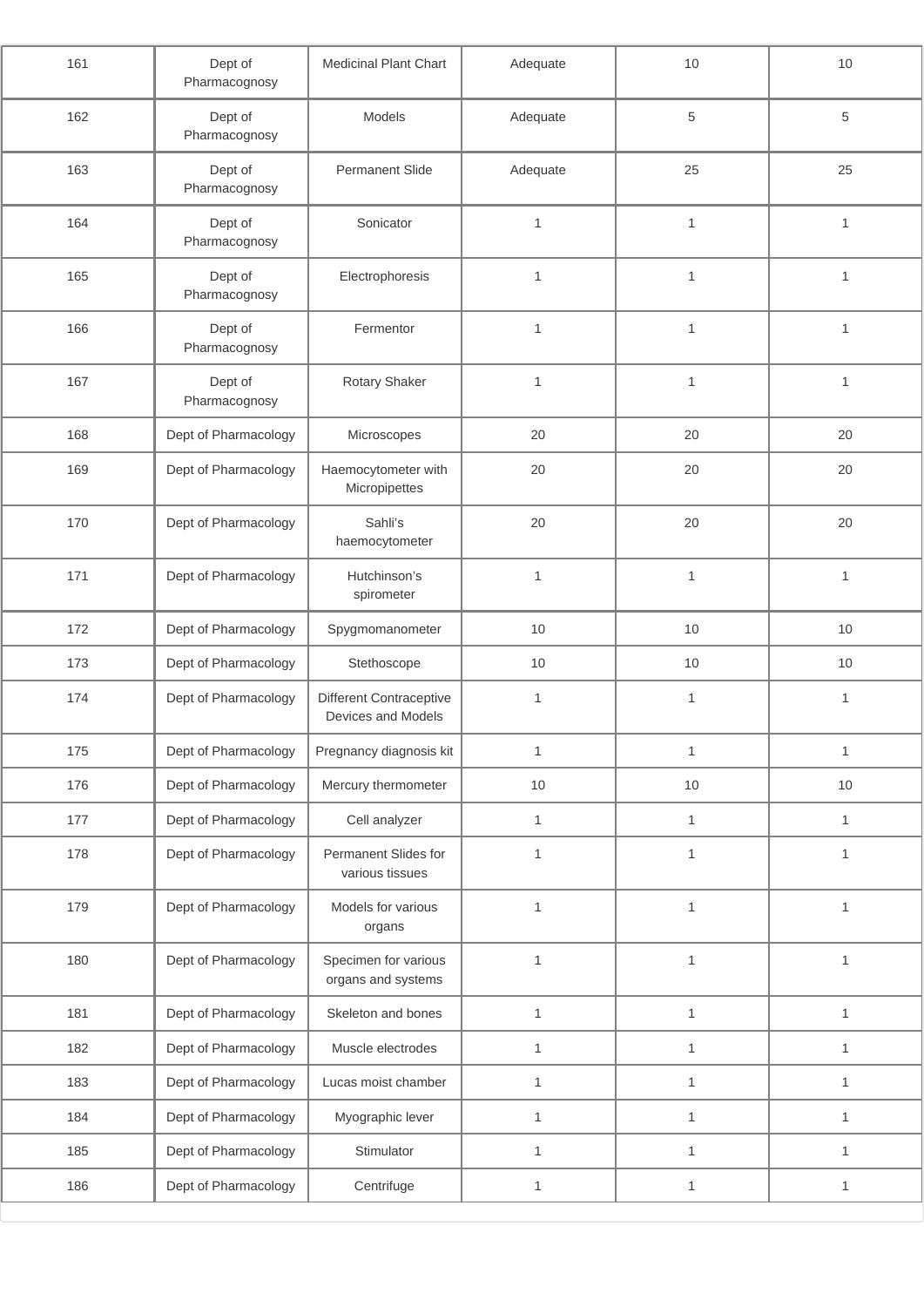| 161 | Dept of<br>Pharmacognosy | Medicinal Plant Chart                                | Adequate     | 10           | $10$         |
|-----|--------------------------|------------------------------------------------------|--------------|--------------|--------------|
| 162 | Dept of<br>Pharmacognosy | Models                                               | Adequate     | 5            | 5            |
| 163 | Dept of<br>Pharmacognosy | <b>Permanent Slide</b>                               | Adequate     | 25           | 25           |
| 164 | Dept of<br>Pharmacognosy | Sonicator                                            | $\mathbf{1}$ | $\mathbf{1}$ | $\mathbf{1}$ |
| 165 | Dept of<br>Pharmacognosy | Electrophoresis                                      | $\mathbf{1}$ | $\mathbf{1}$ | $\mathbf{1}$ |
| 166 | Dept of<br>Pharmacognosy | Fermentor                                            | 1            | $\mathbf{1}$ | $\mathbf{1}$ |
| 167 | Dept of<br>Pharmacognosy | Rotary Shaker                                        | $\mathbf{1}$ | $\mathbf{1}$ | $\mathbf{1}$ |
| 168 | Dept of Pharmacology     | Microscopes                                          | 20           | 20           | 20           |
| 169 | Dept of Pharmacology     | Haemocytometer with<br>Micropipettes                 | 20           | 20           | 20           |
| 170 | Dept of Pharmacology     | Sahli's<br>haemocytometer                            | 20           | 20           | 20           |
| 171 | Dept of Pharmacology     | Hutchinson's<br>spirometer                           | $\mathbf{1}$ | $\mathbf{1}$ | $\mathbf{1}$ |
| 172 | Dept of Pharmacology     | Spygmomanometer                                      | 10           | 10           | 10           |
| 173 | Dept of Pharmacology     | Stethoscope                                          | 10           | 10           | 10           |
| 174 | Dept of Pharmacology     | <b>Different Contraceptive</b><br>Devices and Models | $\mathbf{1}$ | $\mathbf{1}$ | $\mathbf{1}$ |
| 175 | Dept of Pharmacology     | Pregnancy diagnosis kit                              | $\mathbf{1}$ | 1            | $\mathbf{1}$ |
| 176 | Dept of Pharmacology     | Mercury thermometer                                  | $10$         | 10           | 10           |
| 177 | Dept of Pharmacology     | Cell analyzer                                        | $\mathbf{1}$ | $\mathbf{1}$ | $\mathbf{1}$ |
| 178 | Dept of Pharmacology     | Permanent Slides for<br>various tissues              | $\mathbf{1}$ | $\mathbf{1}$ | $\mathbf{1}$ |
| 179 | Dept of Pharmacology     | Models for various<br>organs                         | $\mathbf{1}$ | $\mathbf{1}$ | $\mathbf 1$  |
| 180 | Dept of Pharmacology     | Specimen for various<br>organs and systems           | $\mathbf{1}$ | $\mathbf{1}$ | $\mathbf{1}$ |
| 181 | Dept of Pharmacology     | Skeleton and bones                                   | $\mathbf{1}$ | $\mathbf{1}$ | $\mathbf{1}$ |
| 182 | Dept of Pharmacology     | Muscle electrodes                                    | $\mathbf{1}$ | $\mathbf{1}$ | $\mathbf{1}$ |
| 183 | Dept of Pharmacology     | Lucas moist chamber                                  | $\mathbf{1}$ | $\mathbf{1}$ | $\mathbf{1}$ |
| 184 | Dept of Pharmacology     | Myographic lever                                     | $\mathbf{1}$ | $\mathbf{1}$ | $\mathbf{1}$ |
| 185 | Dept of Pharmacology     | Stimulator                                           | $\mathbf{1}$ | $\mathbf{1}$ | $\mathbf{1}$ |
| 186 | Dept of Pharmacology     | Centrifuge                                           | $\mathbf{1}$ | $\mathbf{1}$ | $\mathbf{1}$ |
|     |                          |                                                      |              |              |              |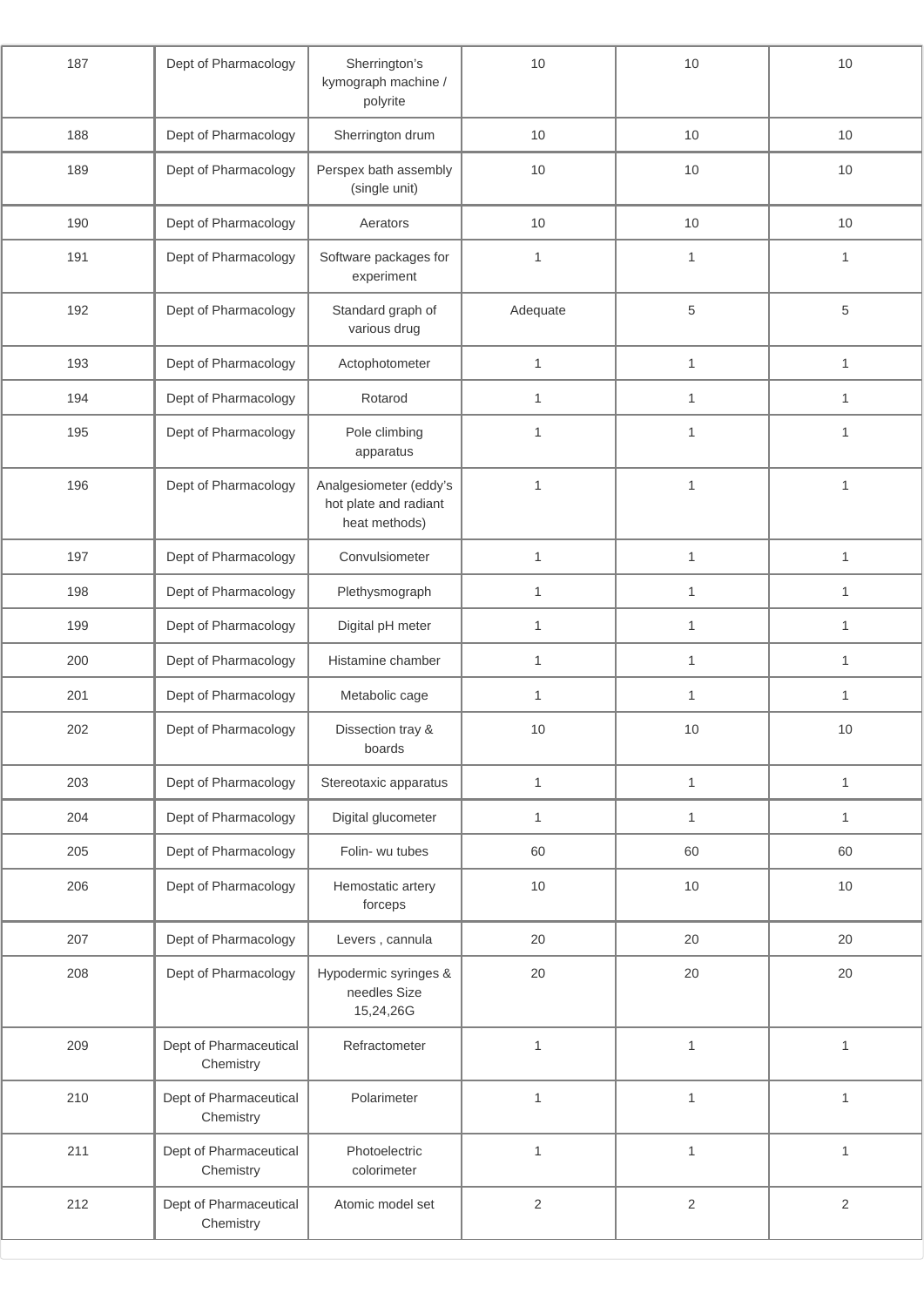| 187 | Dept of Pharmacology                | Sherrington's<br>kymograph machine /<br>polyrite                 |              | 10           | 10           |
|-----|-------------------------------------|------------------------------------------------------------------|--------------|--------------|--------------|
| 188 | Dept of Pharmacology                | Sherrington drum                                                 | 10           | $10$         | 10           |
| 189 | Dept of Pharmacology                | Perspex bath assembly<br>(single unit)                           | 10           | 10           | $10$         |
| 190 | Dept of Pharmacology                | Aerators                                                         | 10           | 10           | 10           |
| 191 | Dept of Pharmacology                | Software packages for<br>experiment                              | $\mathbf{1}$ | $\mathbf{1}$ | $\mathbf{1}$ |
| 192 | Dept of Pharmacology                | Standard graph of<br>various drug                                | Adequate     | $\,$ 5 $\,$  | 5            |
| 193 | Dept of Pharmacology                | Actophotometer                                                   | $\mathbf{1}$ | $\mathbf{1}$ | $\mathbf{1}$ |
| 194 | Dept of Pharmacology                | Rotarod                                                          | $\mathbf{1}$ | $\mathbf{1}$ | $\mathbf{1}$ |
| 195 | Dept of Pharmacology                | Pole climbing<br>apparatus                                       | $\mathbf{1}$ | $\mathbf{1}$ | $\mathbf{1}$ |
| 196 | Dept of Pharmacology                | Analgesiometer (eddy's<br>hot plate and radiant<br>heat methods) | $\mathbf{1}$ | $\mathbf{1}$ | $\mathbf{1}$ |
| 197 | Dept of Pharmacology                | Convulsiometer                                                   | $\mathbf{1}$ | $\mathbf{1}$ | $\mathbf{1}$ |
| 198 | Dept of Pharmacology                | Plethysmograph                                                   | $\mathbf{1}$ | $\mathbf{1}$ | $\mathbf{1}$ |
| 199 | Dept of Pharmacology                | Digital pH meter                                                 | 1<br>1       |              | $\mathbf{1}$ |
| 200 | Dept of Pharmacology                | Histamine chamber                                                | $\mathbf{1}$ | $\mathbf{1}$ | $\mathbf{1}$ |
| 201 | Dept of Pharmacology                | Metabolic cage                                                   | $\mathbf{1}$ | 1            | $\mathbf{1}$ |
| 202 | Dept of Pharmacology                | Dissection tray &<br>boards                                      | 10           | 10           | 10           |
| 203 | Dept of Pharmacology                | Stereotaxic apparatus                                            | $\mathbf{1}$ | $\mathbf{1}$ | $\mathbf{1}$ |
| 204 | Dept of Pharmacology                | Digital glucometer                                               | $\mathbf{1}$ | $\mathbf{1}$ | $\mathbf{1}$ |
| 205 | Dept of Pharmacology                | Folin- wu tubes                                                  | 60           | 60           | 60           |
| 206 | Dept of Pharmacology                | Hemostatic artery<br>forceps                                     | 10           | $10$         | 10           |
| 207 | Dept of Pharmacology                | Levers, cannula                                                  | 20           | 20           | 20           |
| 208 | Dept of Pharmacology                | Hypodermic syringes &<br>needles Size<br>15,24,26G               | 20           | 20           | 20           |
| 209 | Dept of Pharmaceutical<br>Chemistry | Refractometer                                                    | $\mathbf{1}$ | $\mathbf{1}$ | $\mathbf{1}$ |
| 210 | Dept of Pharmaceutical<br>Chemistry | Polarimeter                                                      | $\mathbf{1}$ | $\mathbf{1}$ | $\mathbf{1}$ |
| 211 | Dept of Pharmaceutical<br>Chemistry | Photoelectric<br>colorimeter                                     | $\mathbf{1}$ | $\mathbf{1}$ | $\mathbf{1}$ |
| 212 | Dept of Pharmaceutical<br>Chemistry | Atomic model set                                                 | $\mathbf{2}$ | $\sqrt{2}$   | $\sqrt{2}$   |
|     |                                     |                                                                  |              |              |              |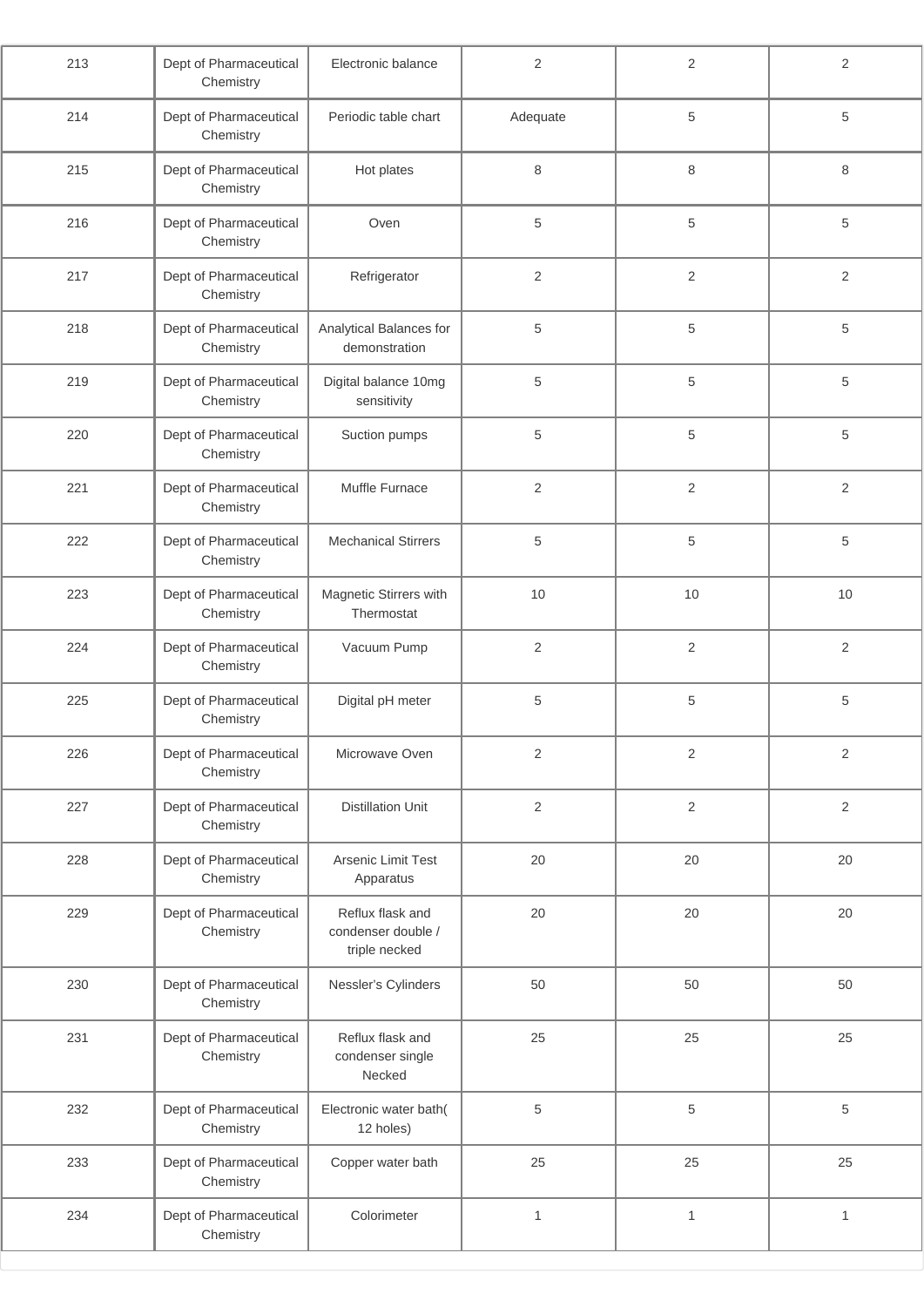| 213 | Dept of Pharmaceutical<br>Chemistry | Electronic balance                                      | $\overline{2}$ | $\overline{2}$ | $\overline{2}$ |
|-----|-------------------------------------|---------------------------------------------------------|----------------|----------------|----------------|
| 214 | Dept of Pharmaceutical<br>Chemistry | Periodic table chart<br>Adequate                        |                | 5              | 5              |
| 215 | Dept of Pharmaceutical<br>Chemistry | Hot plates                                              | $\,8\,$        | 8              | 8              |
| 216 | Dept of Pharmaceutical<br>Chemistry | Oven                                                    | 5              | 5              | 5              |
| 217 | Dept of Pharmaceutical<br>Chemistry | Refrigerator                                            | $\overline{2}$ | 2              | $\overline{2}$ |
| 218 | Dept of Pharmaceutical<br>Chemistry | Analytical Balances for<br>demonstration                | 5              | 5              | 5              |
| 219 | Dept of Pharmaceutical<br>Chemistry | Digital balance 10mg<br>sensitivity                     | 5              | 5              | 5              |
| 220 | Dept of Pharmaceutical<br>Chemistry | Suction pumps                                           | $\sqrt{5}$     | 5              | $\,$ 5 $\,$    |
| 221 | Dept of Pharmaceutical<br>Chemistry | Muffle Furnace                                          | $\overline{2}$ | $\overline{2}$ | $\overline{2}$ |
| 222 | Dept of Pharmaceutical<br>Chemistry | <b>Mechanical Stirrers</b>                              | $\sqrt{5}$     | 5              | 5              |
| 223 | Dept of Pharmaceutical<br>Chemistry | Magnetic Stirrers with<br>Thermostat                    | 10             | 10             | 10             |
| 224 | Dept of Pharmaceutical<br>Chemistry | Vacuum Pump                                             | $\overline{2}$ | $\overline{2}$ | $\overline{2}$ |
| 225 | Dept of Pharmaceutical<br>Chemistry | Digital pH meter                                        | 5              | 5              | $\,$ 5 $\,$    |
| 226 | Dept of Pharmaceutical<br>Chemistry | Microwave Oven                                          | $\sqrt{2}$     | $\overline{2}$ | $\sqrt{2}$     |
| 227 | Dept of Pharmaceutical<br>Chemistry | <b>Distillation Unit</b>                                | $\sqrt{2}$     | $\overline{2}$ | $\overline{2}$ |
| 228 | Dept of Pharmaceutical<br>Chemistry | Arsenic Limit Test<br>Apparatus                         | 20             | 20             | 20             |
| 229 | Dept of Pharmaceutical<br>Chemistry | Reflux flask and<br>condenser double /<br>triple necked | 20             | 20             | 20             |
| 230 | Dept of Pharmaceutical<br>Chemistry | Nessler's Cylinders                                     | 50             | 50             | 50             |
| 231 | Dept of Pharmaceutical<br>Chemistry | Reflux flask and<br>condenser single<br>Necked          | 25             | 25             | 25             |
| 232 | Dept of Pharmaceutical<br>Chemistry | Electronic water bath(<br>12 holes)                     | $\sqrt{5}$     | 5              | 5              |
| 233 | Dept of Pharmaceutical<br>Chemistry | Copper water bath                                       | 25<br>25       |                | 25             |
| 234 | Dept of Pharmaceutical<br>Chemistry | Colorimeter                                             | $\mathbf{1}$   | $\mathbf{1}$   | $\mathbf{1}$   |
|     |                                     |                                                         |                |                |                |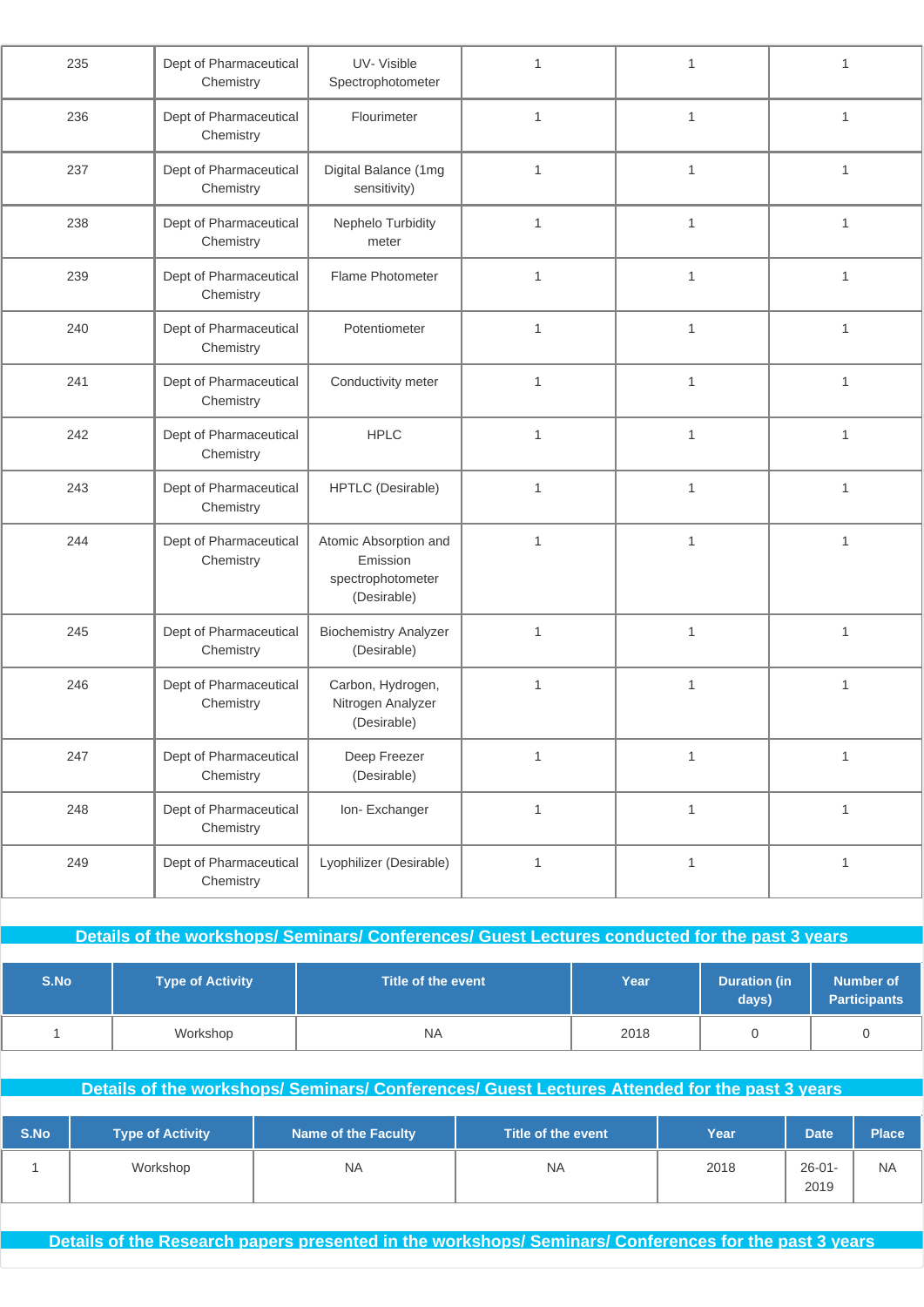| 235 | Dept of Pharmaceutical<br>Chemistry | UV-Visible<br>Spectrophotometer                                       | 1            | 1            | 1            |
|-----|-------------------------------------|-----------------------------------------------------------------------|--------------|--------------|--------------|
| 236 | Dept of Pharmaceutical<br>Chemistry | Flourimeter                                                           | $\mathbf{1}$ | $\mathbf{1}$ | $\mathbf{1}$ |
| 237 | Dept of Pharmaceutical<br>Chemistry | Digital Balance (1mg<br>sensitivity)                                  | $\mathbf{1}$ | 1            | $\mathbf{1}$ |
| 238 | Dept of Pharmaceutical<br>Chemistry | Nephelo Turbidity<br>meter                                            | $\mathbf{1}$ | 1            | $\mathbf{1}$ |
| 239 | Dept of Pharmaceutical<br>Chemistry | Flame Photometer                                                      | $\mathbf{1}$ | $\mathbf{1}$ | $\mathbf{1}$ |
| 240 | Dept of Pharmaceutical<br>Chemistry | Potentiometer                                                         | $\mathbf{1}$ | 1            | 1            |
| 241 | Dept of Pharmaceutical<br>Chemistry | Conductivity meter                                                    | $\mathbf{1}$ | 1            | $\mathbf{1}$ |
| 242 | Dept of Pharmaceutical<br>Chemistry | <b>HPLC</b>                                                           | $\mathbf{1}$ | $\mathbf{1}$ | $\mathbf{1}$ |
| 243 | Dept of Pharmaceutical<br>Chemistry | <b>HPTLC</b> (Desirable)                                              | $\mathbf{1}$ | $\mathbf{1}$ | $\mathbf{1}$ |
| 244 | Dept of Pharmaceutical<br>Chemistry | Atomic Absorption and<br>Emission<br>spectrophotometer<br>(Desirable) | $\mathbf{1}$ | $\mathbf{1}$ | $\mathbf{1}$ |
| 245 | Dept of Pharmaceutical<br>Chemistry | <b>Biochemistry Analyzer</b><br>(Desirable)                           | $\mathbf{1}$ | $\mathbf{1}$ | $\mathbf{1}$ |
| 246 | Dept of Pharmaceutical<br>Chemistry | Carbon, Hydrogen,<br>Nitrogen Analyzer<br>(Desirable)                 | $\mathbf{1}$ | 1            | $\mathbf{1}$ |
| 247 | Dept of Pharmaceutical<br>Chemistry | Deep Freezer<br>(Desirable)                                           | $\mathbf{1}$ | $\mathbf{1}$ | $\mathbf{1}$ |
| 248 | Dept of Pharmaceutical<br>Chemistry | Ion-Exchanger                                                         | $\mathbf{1}$ | $\mathbf{1}$ | $\mathbf{1}$ |
| 249 | Dept of Pharmaceutical<br>Chemistry | Lyophilizer (Desirable)                                               | $\mathbf{1}$ | $\mathbf{1}$ | $\mathbf{1}$ |
|     |                                     |                                                                       |              |              |              |

**Details of the workshops/ Seminars/ Conferences/ Guest Lectures conducted for the past 3 years**

| S.No | Type of Activity | Title of the event | Year | <b>Duration (in</b><br>days) | <b>Number of</b><br><b>Participants</b> |
|------|------------------|--------------------|------|------------------------------|-----------------------------------------|
|      | Workshop         | <b>NA</b>          | 2018 |                              |                                         |

### **Details of the workshops/ Seminars/ Conferences/ Guest Lectures Attended for the past 3 years**

| S.No | <b>Type of Activity</b> | Name of the Faculty | Title of the event | Year | <b>Date</b>         | <b>Place</b> |
|------|-------------------------|---------------------|--------------------|------|---------------------|--------------|
|      | Workshop                | <b>NA</b>           | <b>NA</b>          | 2018 | $26 - 01 -$<br>2019 | <b>NA</b>    |

**Details of the Research papers presented in the workshops/ Seminars/ Conferences for the past 3 years**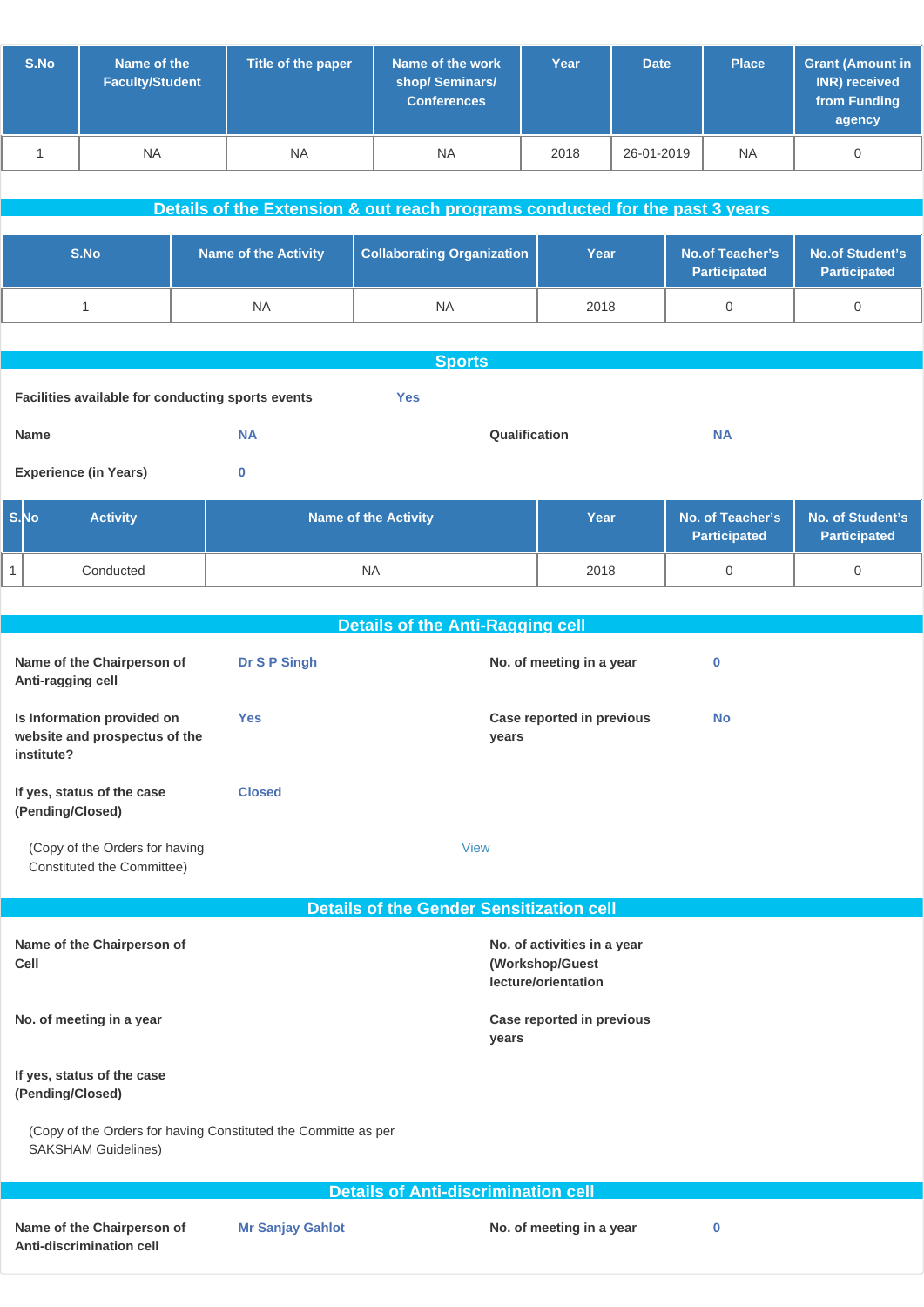| S.No | Name of the<br><b>Faculty/Student</b> | Title of the paper | Name of the work<br>shop/Seminars/<br><b>Conferences</b> | Year | <b>Date</b> | <b>Place</b> | <b>Grant (Amount in</b><br>INR) received<br>from Funding<br>agency |
|------|---------------------------------------|--------------------|----------------------------------------------------------|------|-------------|--------------|--------------------------------------------------------------------|
|      | <b>NA</b>                             | <b>NA</b>          | <b>NA</b>                                                | 2018 | 26-01-2019  | <b>NA</b>    |                                                                    |

|                                                                 | Details of the Extension & out reach programs conducted for the past 3 years |                                   |      |                                               |                                               |  |  |
|-----------------------------------------------------------------|------------------------------------------------------------------------------|-----------------------------------|------|-----------------------------------------------|-----------------------------------------------|--|--|
|                                                                 |                                                                              |                                   |      |                                               |                                               |  |  |
| S.No                                                            | <b>Name of the Activity</b>                                                  | <b>Collaborating Organization</b> | Year | <b>No.of Teacher's</b><br><b>Participated</b> | <b>No.of Student's</b><br><b>Participated</b> |  |  |
|                                                                 | <b>NA</b>                                                                    | <b>NA</b>                         | 2018 | $\mathbf 0$                                   | 0                                             |  |  |
|                                                                 |                                                                              |                                   |      |                                               |                                               |  |  |
|                                                                 | <b>Sports</b>                                                                |                                   |      |                                               |                                               |  |  |
| Facilities available for conducting sports events<br><b>Yes</b> |                                                                              |                                   |      |                                               |                                               |  |  |
| <b>Name</b>                                                     | <b>NA</b>                                                                    | Qualification                     |      | <b>NA</b>                                     |                                               |  |  |
| <b>Experience (in Years)</b>                                    | $\bf{0}$                                                                     |                                   |      |                                               |                                               |  |  |
| S.No<br><b>Activity</b>                                         |                                                                              | <b>Name of the Activity</b>       | Year | No. of Teacher's                              | No. of Student's                              |  |  |

| -S.No | <b>Activity</b> | <b>Name of the Activity</b> | Year | No. of Teacher's   No. of Student's<br><b>Participated</b> | Participated |
|-------|-----------------|-----------------------------|------|------------------------------------------------------------|--------------|
|       | Conducted       | <b>NA</b>                   | 2018 |                                                            |              |

|                                                                                              | <b>Details of the Anti-Ragging cell</b>         |                                                                       |           |
|----------------------------------------------------------------------------------------------|-------------------------------------------------|-----------------------------------------------------------------------|-----------|
| Name of the Chairperson of<br>Anti-ragging cell                                              | Dr S P Singh                                    | No. of meeting in a year                                              | 0         |
| Is Information provided on<br>website and prospectus of the<br>institute?                    | <b>Yes</b>                                      | Case reported in previous<br>years                                    | <b>No</b> |
| If yes, status of the case<br>(Pending/Closed)                                               | <b>Closed</b>                                   |                                                                       |           |
| (Copy of the Orders for having<br>Constituted the Committee)                                 |                                                 | <b>View</b>                                                           |           |
|                                                                                              |                                                 |                                                                       |           |
|                                                                                              | <b>Details of the Gender Sensitization cell</b> |                                                                       |           |
| Name of the Chairperson of<br>Cell                                                           |                                                 | No. of activities in a year<br>(Workshop/Guest<br>lecture/orientation |           |
| No. of meeting in a year                                                                     |                                                 | Case reported in previous<br>years                                    |           |
| If yes, status of the case<br>(Pending/Closed)                                               |                                                 |                                                                       |           |
| (Copy of the Orders for having Constituted the Committe as per<br><b>SAKSHAM Guidelines)</b> |                                                 |                                                                       |           |
|                                                                                              | <b>Details of Anti-discrimination cell</b>      |                                                                       |           |
|                                                                                              |                                                 |                                                                       |           |
|                                                                                              |                                                 |                                                                       |           |

**Name of the Chairperson of Anti-discrimination cell**

**Mr Sanjay Gahlot No. of meeting in a year 0**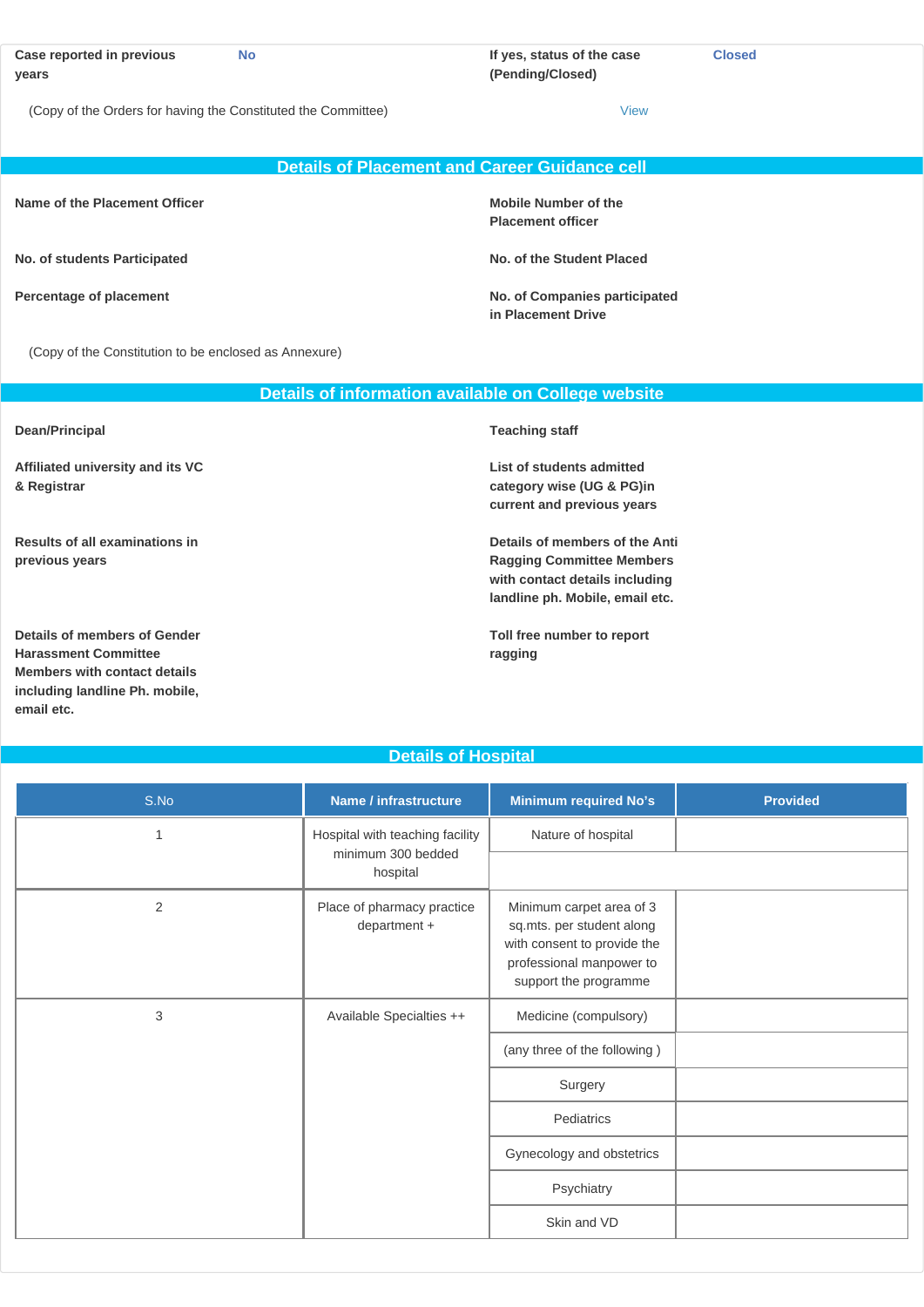| Case reported in previous<br>years                            | No                                            | If yes, status of the case<br>(Pending/Closed) | <b>Closed</b> |
|---------------------------------------------------------------|-----------------------------------------------|------------------------------------------------|---------------|
| (Copy of the Orders for having the Constituted the Committee) |                                               | View                                           |               |
|                                                               | Details of Placement and Career Guidance cell |                                                |               |

**Name of the Placement Officer <b>Mobile Number of the Mobile Number of the** 

**No. of students Participated No. of the Student Placed**

**including landline Ph. mobile,**

**email etc.**

**Placement officer**

**Percentage of placement No. of Companies participated in Placement Drive**

(Copy of the Constitution to be enclosed as Annexure)

|                                                                                                    | Details of information available on College website                                                                                     |
|----------------------------------------------------------------------------------------------------|-----------------------------------------------------------------------------------------------------------------------------------------|
| Dean/Principal                                                                                     | <b>Teaching staff</b>                                                                                                                   |
| Affiliated university and its VC<br>& Registrar                                                    | List of students admitted<br>category wise (UG & PG)in<br>current and previous years                                                    |
| Results of all examinations in<br>previous years                                                   | Details of members of the Anti<br><b>Ragging Committee Members</b><br>with contact details including<br>landline ph. Mobile, email etc. |
| Details of members of Gender<br><b>Harassment Committee</b><br><b>Members with contact details</b> | Toll free number to report<br>ragging                                                                                                   |

**Details of Hospital**

| S.No           | Name / infrastructure                      | <b>Minimum required No's</b>                                                                                                              | <b>Provided</b> |
|----------------|--------------------------------------------|-------------------------------------------------------------------------------------------------------------------------------------------|-----------------|
| $\mathbf 1$    | Hospital with teaching facility            | Nature of hospital                                                                                                                        |                 |
|                | minimum 300 bedded<br>hospital             |                                                                                                                                           |                 |
| $\overline{2}$ | Place of pharmacy practice<br>department + | Minimum carpet area of 3<br>sq.mts. per student along<br>with consent to provide the<br>professional manpower to<br>support the programme |                 |
| 3              | Available Specialties ++                   | Medicine (compulsory)                                                                                                                     |                 |
|                |                                            | (any three of the following)                                                                                                              |                 |
|                |                                            | Surgery                                                                                                                                   |                 |
|                |                                            | Pediatrics                                                                                                                                |                 |
|                |                                            | Gynecology and obstetrics                                                                                                                 |                 |
|                |                                            | Psychiatry                                                                                                                                |                 |
|                |                                            | Skin and VD                                                                                                                               |                 |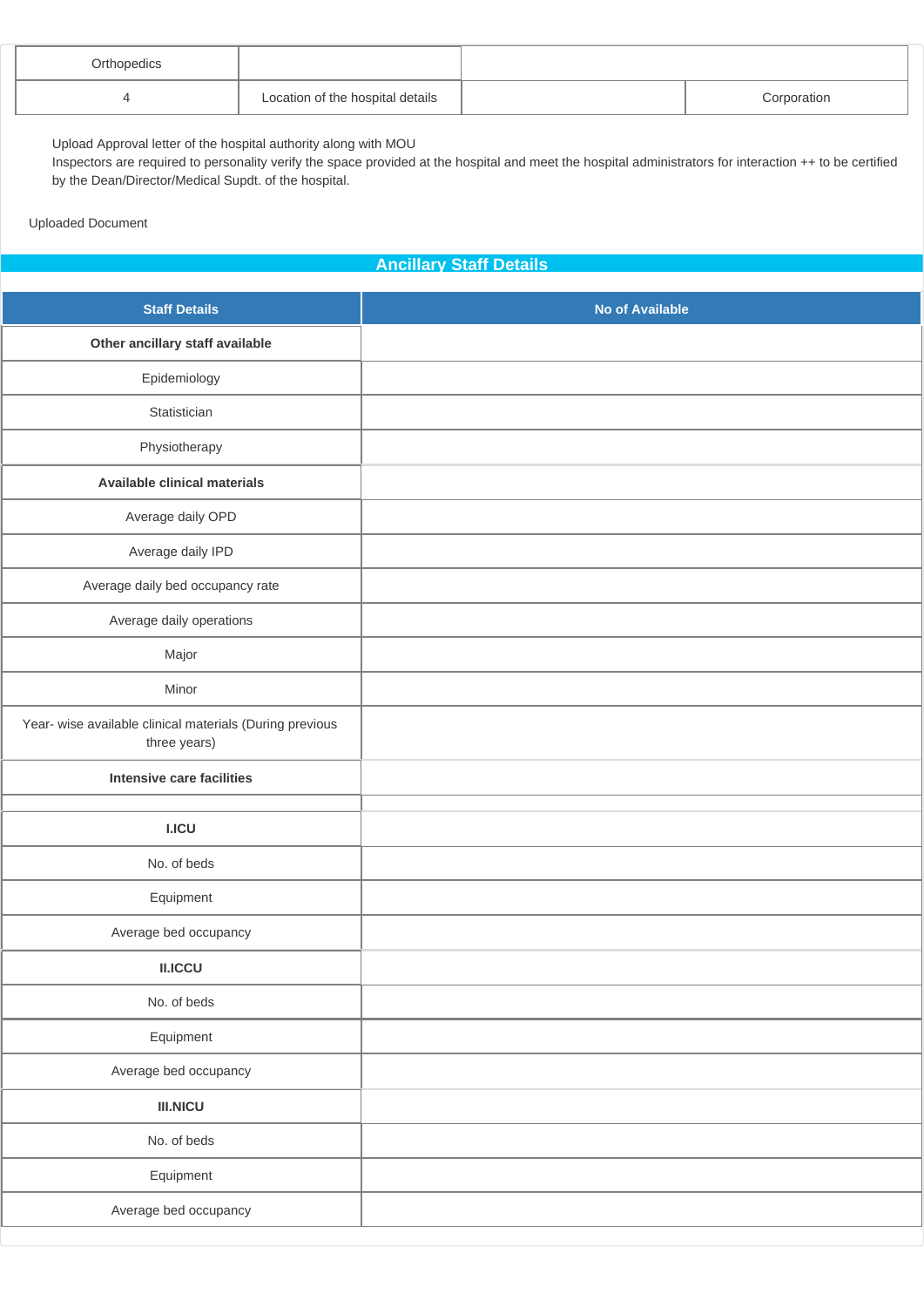| Orthopedics |                                  |             |
|-------------|----------------------------------|-------------|
|             | Location of the hospital details | Corporation |

- <sup>a</sup> Upload Approval letter of the hospital authority along with MOU<br><sup>a</sup> Inspectors are required to personality verify the space provided
- Inspectors are required to personality verify the space provided at the hospital and meet the hospital administrators for interaction ++ to be certified by the Dean/Director/Medical Supdt. of the hospital.

Uploaded Document

### **Ancillary Staff Details**

| <b>Staff Details</b>                                                     | <b>No of Available</b> |
|--------------------------------------------------------------------------|------------------------|
| Other ancillary staff available                                          |                        |
| Epidemiology                                                             |                        |
| Statistician                                                             |                        |
| Physiotherapy                                                            |                        |
| <b>Available clinical materials</b>                                      |                        |
| Average daily OPD                                                        |                        |
| Average daily IPD                                                        |                        |
| Average daily bed occupancy rate                                         |                        |
| Average daily operations                                                 |                        |
| Major                                                                    |                        |
| Minor                                                                    |                        |
| Year- wise available clinical materials (During previous<br>three years) |                        |
| Intensive care facilities                                                |                        |
| <b>I.ICU</b>                                                             |                        |
| No. of beds                                                              |                        |
| Equipment                                                                |                        |
| Average bed occupancy                                                    |                        |
| <b>II.ICCU</b>                                                           |                        |
| No. of beds                                                              |                        |
| Equipment                                                                |                        |
| Average bed occupancy                                                    |                        |
| <b>III.NICU</b>                                                          |                        |
| No. of beds                                                              |                        |
| Equipment                                                                |                        |
| Average bed occupancy                                                    |                        |
|                                                                          |                        |